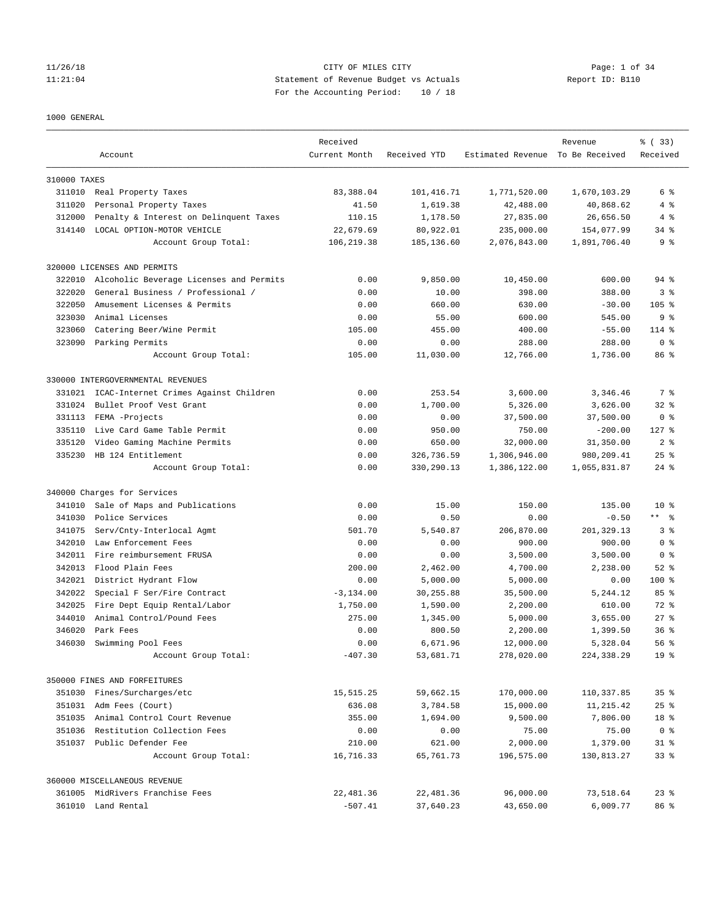#### 1000 GENERAL

|              | Account                                 | Received<br>Current Month | Received YTD | Estimated Revenue To Be Received | Revenue      | % (33)<br>Received |
|--------------|-----------------------------------------|---------------------------|--------------|----------------------------------|--------------|--------------------|
|              |                                         |                           |              |                                  |              |                    |
| 310000 TAXES |                                         |                           |              |                                  |              |                    |
|              | 311010 Real Property Taxes              | 83,388.04                 | 101, 416.71  | 1,771,520.00                     | 1,670,103.29 | 6 %                |
| 311020       | Personal Property Taxes                 | 41.50                     | 1,619.38     | 42,488.00                        | 40,868.62    | 4%                 |
| 312000       | Penalty & Interest on Delinquent Taxes  | 110.15                    | 1,178.50     | 27,835.00                        | 26,656.50    | 4%                 |
| 314140       | LOCAL OPTION-MOTOR VEHICLE              | 22,679.69                 | 80,922.01    | 235,000.00                       | 154,077.99   | $34$ $%$           |
|              | Account Group Total:                    | 106,219.38                | 185,136.60   | 2,076,843.00                     | 1,891,706.40 | 9 <sup>8</sup>     |
|              | 320000 LICENSES AND PERMITS             |                           |              |                                  |              |                    |
| 322010       | Alcoholic Beverage Licenses and Permits | 0.00                      | 9,850.00     | 10,450.00                        | 600.00       | $94$ %             |
| 322020       | General Business / Professional /       | 0.00                      | 10.00        | 398.00                           | 388.00       | 3 <sup>8</sup>     |
| 322050       | Amusement Licenses & Permits            | 0.00                      | 660.00       | 630.00                           | $-30.00$     | $105$ %            |
| 323030       | Animal Licenses                         | 0.00                      | 55.00        | 600.00                           | 545.00       | 9 <sup>8</sup>     |
| 323060       | Catering Beer/Wine Permit               | 105.00                    | 455.00       | 400.00                           | $-55.00$     | $114$ %            |
| 323090       | Parking Permits                         | 0.00                      | 0.00         | 288.00                           | 288.00       | 0 <sup>8</sup>     |
|              | Account Group Total:                    | 105.00                    | 11,030.00    | 12,766.00                        | 1,736.00     | 86 %               |
|              | 330000 INTERGOVERNMENTAL REVENUES       |                           |              |                                  |              |                    |
| 331021       | ICAC-Internet Crimes Against Children   | 0.00                      | 253.54       | 3,600.00                         | 3,346.46     | 7 %                |
| 331024       | Bullet Proof Vest Grant                 | 0.00                      | 1,700.00     | 5,326.00                         | 3,626.00     | $32$ $%$           |
| 331113       | FEMA -Projects                          | 0.00                      | 0.00         | 37,500.00                        | 37,500.00    | 0 <sup>8</sup>     |
| 335110       | Live Card Game Table Permit             | 0.00                      | 950.00       | 750.00                           | $-200.00$    | $127$ %            |
| 335120       | Video Gaming Machine Permits            | 0.00                      | 650.00       | 32,000.00                        | 31,350.00    | 2 <sup>8</sup>     |
|              | 335230 HB 124 Entitlement               | 0.00                      | 326,736.59   | 1,306,946.00                     | 980,209.41   | $25$ $%$           |
|              | Account Group Total:                    | 0.00                      | 330,290.13   | 1,386,122.00                     | 1,055,831.87 | $24$ %             |
|              | 340000 Charges for Services             |                           |              |                                  |              |                    |
| 341010       | Sale of Maps and Publications           | 0.00                      | 15.00        | 150.00                           | 135.00       | $10*$              |
| 341030       | Police Services                         | 0.00                      | 0.50         | 0.00                             | $-0.50$      | $***$ $ -$         |
| 341075       | Serv/Cnty-Interlocal Agmt               | 501.70                    | 5,540.87     | 206,870.00                       | 201,329.13   | 3 <sup>8</sup>     |
| 342010       | Law Enforcement Fees                    | 0.00                      | 0.00         | 900.00                           | 900.00       | 0 <sup>8</sup>     |
| 342011       | Fire reimbursement FRUSA                | 0.00                      | 0.00         | 3,500.00                         | 3,500.00     | 0 <sup>8</sup>     |
| 342013       | Flood Plain Fees                        | 200.00                    | 2,462.00     | 4,700.00                         | 2,238.00     | $52$ $%$           |
| 342021       | District Hydrant Flow                   | 0.00                      | 5,000.00     | 5,000.00                         | 0.00         | $100$ %            |
| 342022       | Special F Ser/Fire Contract             | $-3, 134.00$              | 30,255.88    | 35,500.00                        | 5,244.12     | 85%                |
| 342025       | Fire Dept Equip Rental/Labor            | 1,750.00                  | 1,590.00     | 2,200.00                         | 610.00       | 72 %               |
| 344010       | Animal Control/Pound Fees               | 275.00                    | 1,345.00     | 5,000.00                         | 3,655.00     | $27$ $%$           |
| 346020       | Park Fees                               | 0.00                      | 800.50       | 2,200.00                         | 1,399.50     | 36 <sup>8</sup>    |
| 346030       | Swimming Pool Fees                      | 0.00                      | 6,671.96     | 12,000.00                        | 5,328.04     | 56%                |
|              | Account Group Total:                    | $-407.30$                 | 53,681.71    | 278,020.00                       | 224,338.29   | 19 <sup>°</sup>    |
|              | 350000 FINES AND FORFEITURES            |                           |              |                                  |              |                    |
|              | 351030 Fines/Surcharges/etc             | 15,515.25                 | 59,662.15    | 170,000.00                       | 110,337.85   | 35 <sup>8</sup>    |
|              | 351031 Adm Fees (Court)                 | 636.08                    | 3,784.58     | 15,000.00                        | 11,215.42    | $25$ $%$           |
|              | 351035 Animal Control Court Revenue     | 355.00                    | 1,694.00     | 9,500.00                         | 7,806.00     | 18 %               |
|              | 351036 Restitution Collection Fees      | 0.00                      | 0.00         | 75.00                            | 75.00        | 0 <sup>8</sup>     |
|              | 351037 Public Defender Fee              | 210.00                    | 621.00       | 2,000.00                         | 1,379.00     | $31$ %             |
|              | Account Group Total:                    | 16,716.33                 | 65,761.73    | 196,575.00                       | 130,813.27   | $33$ $%$           |
|              | 360000 MISCELLANEOUS REVENUE            |                           |              |                                  |              |                    |
|              | 361005 MidRivers Franchise Fees         | 22,481.36                 | 22,481.36    | 96,000.00                        | 73,518.64    | $23$ $%$           |
|              | 361010 Land Rental                      | $-507.41$                 | 37,640.23    | 43,650.00                        | 6,009.77     | 86 %               |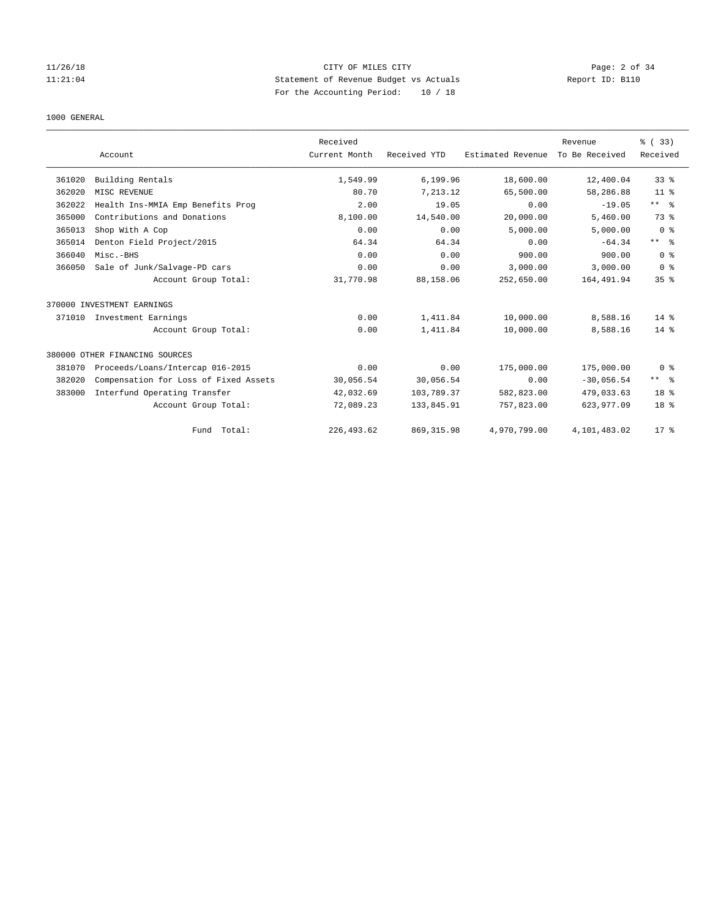# 1000 GENERAL

|        | Account                               | Received<br>Current Month | Received YTD | Estimated Revenue | Revenue<br>To Be Received | % (33)<br>Received |
|--------|---------------------------------------|---------------------------|--------------|-------------------|---------------------------|--------------------|
| 361020 | Building Rentals                      | 1,549.99                  | 6,199.96     | 18,600.00         | 12,400.04                 | 33 <sup>8</sup>    |
| 362020 | MISC REVENUE                          | 80.70                     | 7,213.12     | 65,500.00         | 58,286.88                 | 11 <sup>8</sup>    |
| 362022 | Health Ins-MMIA Emp Benefits Prog     | 2.00                      | 19.05        | 0.00              | $-19.05$                  | $***$ $%$          |
| 365000 | Contributions and Donations           | 8,100.00                  | 14,540.00    | 20,000.00         | 5,460.00                  | 73 %               |
| 365013 | Shop With A Cop                       | 0.00                      | 0.00         | 5,000.00          | 5,000.00                  | 0 <sup>8</sup>     |
| 365014 | Denton Field Project/2015             | 64.34                     | 64.34        | 0.00              | $-64.34$                  | $***$ $ -$         |
| 366040 | Misc.-BHS                             | 0.00                      | 0.00         | 900.00            | 900.00                    | 0 <sup>8</sup>     |
| 366050 | Sale of Junk/Salvage-PD cars          | 0.00                      | 0.00         | 3,000.00          | 3.000.00                  | 0 <sup>8</sup>     |
|        | Account Group Total:                  | 31,770.98                 | 88,158.06    | 252,650.00        | 164, 491.94               | 35 <sup>8</sup>    |
|        | 370000 INVESTMENT EARNINGS            |                           |              |                   |                           |                    |
|        | 371010 Investment Earnings            | 0.00                      | 1,411.84     | 10,000.00         | 8,588.16                  | $14*$              |
|        | Account Group Total:                  | 0.00                      | 1,411.84     | 10,000.00         | 8,588.16                  | $14*$              |
|        | 380000 OTHER FINANCING SOURCES        |                           |              |                   |                           |                    |
| 381070 | Proceeds/Loans/Intercap 016-2015      | 0.00                      | 0.00         | 175,000.00        | 175,000.00                | 0 <sup>8</sup>     |
| 382020 | Compensation for Loss of Fixed Assets | 30,056.54                 | 30,056.54    | 0.00              | $-30,056.54$              | ** %               |
| 383000 | Interfund Operating Transfer          | 42,032.69                 | 103,789.37   | 582,823.00        | 479,033.63                | 18 <sup>8</sup>    |
|        | Account Group Total:                  | 72,089.23                 | 133,845.91   | 757,823.00        | 623, 977.09               | 18 <sup>8</sup>    |
|        | Fund Total:                           | 226, 493.62               | 869, 315.98  | 4,970,799.00      | 4,101,483.02              | 17.8               |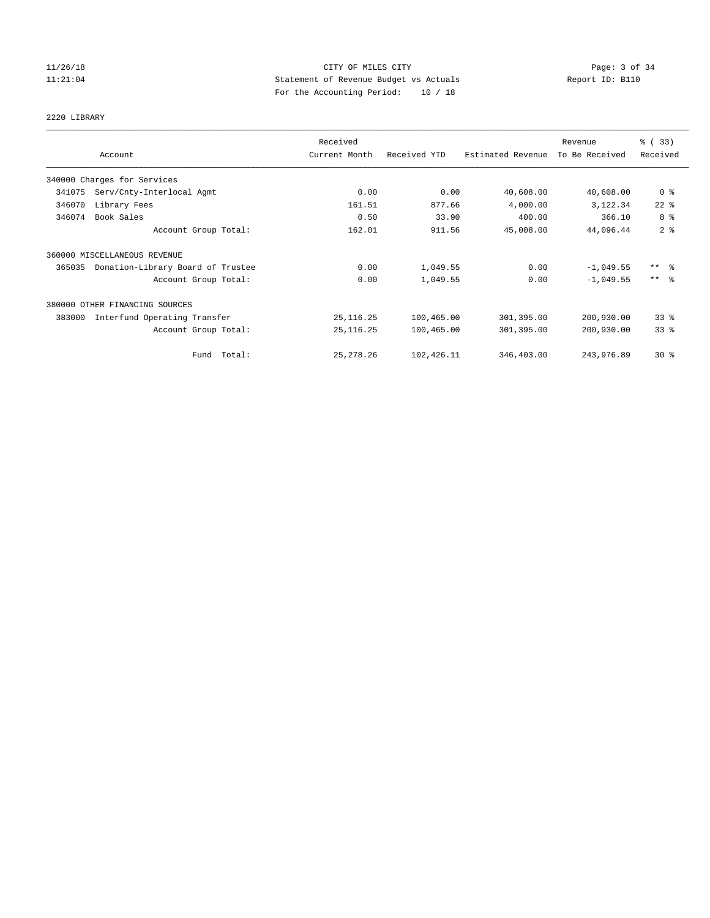# 2220 LIBRARY

|        |                                   | Received      |              |                   | Revenue        | % (33)          |
|--------|-----------------------------------|---------------|--------------|-------------------|----------------|-----------------|
|        | Account                           | Current Month | Received YTD | Estimated Revenue | To Be Received | Received        |
|        | 340000 Charges for Services       |               |              |                   |                |                 |
| 341075 | Serv/Cnty-Interlocal Agmt         | 0.00          | 0.00         | 40,608.00         | 40,608.00      | 0 <sup>8</sup>  |
| 346070 | Library Fees                      | 161.51        | 877.66       | 4,000.00          | 3,122.34       | $22$ %          |
| 346074 | Book Sales                        | 0.50          | 33.90        | 400.00            | 366.10         | 8 %             |
|        | Account Group Total:              | 162.01        | 911.56       | 45,008.00         | 44,096.44      | 2 <sup>8</sup>  |
|        | 360000 MISCELLANEOUS REVENUE      |               |              |                   |                |                 |
| 365035 | Donation-Library Board of Trustee | 0.00          | 1,049.55     | 0.00              | $-1,049.55$    | $***$ $\approx$ |
|        | Account Group Total:              | 0.00          | 1,049.55     | 0.00              | $-1.049.55$    | $***$ $\approx$ |
|        | 380000 OTHER FINANCING SOURCES    |               |              |                   |                |                 |
| 383000 | Interfund Operating Transfer      | 25, 116.25    | 100,465.00   | 301,395.00        | 200,930.00     | 33%             |
|        | Account Group Total:              | 25, 116. 25   | 100,465.00   | 301,395.00        | 200,930.00     | 33%             |
|        | Fund Total:                       | 25, 278. 26   | 102,426.11   | 346,403.00        | 243,976.89     | $30*$           |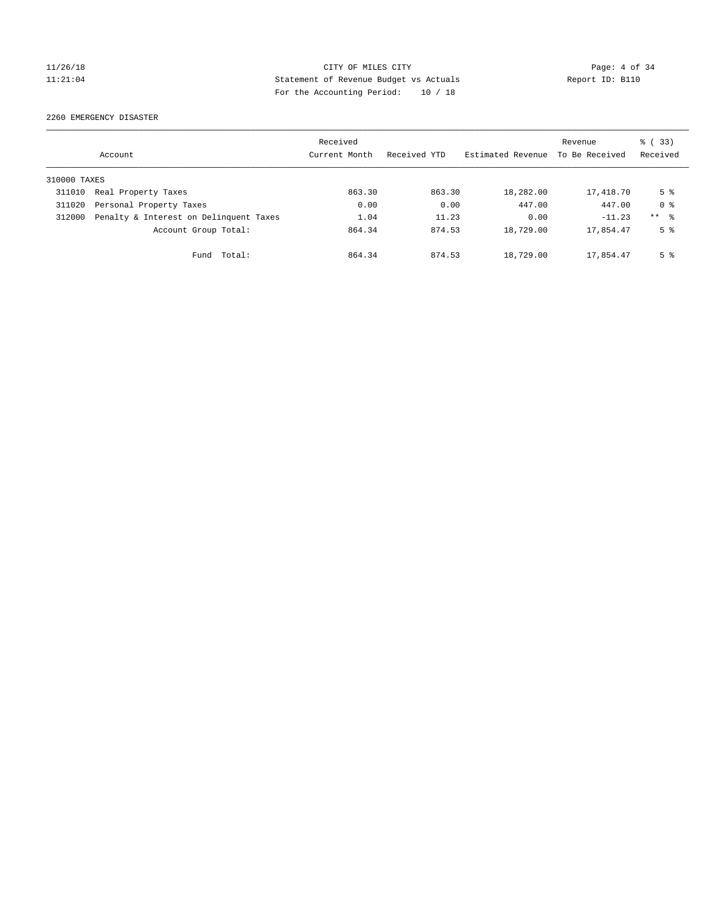2260 EMERGENCY DISASTER

|              | Account                                | Received<br>Current Month | Received YTD | Estimated Revenue | Revenue<br>To Be Received | % (33)<br>Received |
|--------------|----------------------------------------|---------------------------|--------------|-------------------|---------------------------|--------------------|
| 310000 TAXES |                                        |                           |              |                   |                           |                    |
| 311010       | Real Property Taxes                    | 863.30                    | 863.30       | 18,282.00         | 17,418.70                 | 5 %                |
| 311020       | Personal Property Taxes                | 0.00                      | 0.00         | 447.00            | 447.00                    | 0 <sup>8</sup>     |
| 312000       | Penalty & Interest on Delinquent Taxes | 1.04                      | 11.23        | 0.00              | $-11.23$                  | ** %               |
|              | Account Group Total:                   | 864.34                    | 874.53       | 18,729.00         | 17,854.47                 | 5 <sup>8</sup>     |
|              | Total:<br>Fund                         | 864.34                    | 874.53       | 18,729.00         | 17,854.47                 | 5 %                |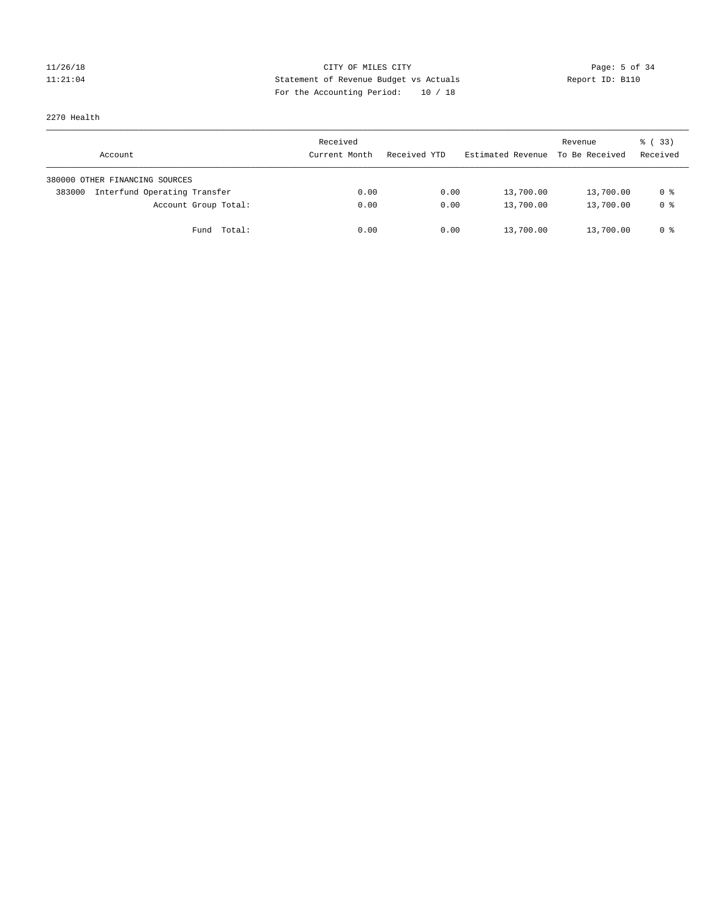2270 Health

| Account                                | Received<br>Current Month | Received YTD | Estimated Revenue | Revenue<br>To Be Received | % (33)<br>Received |
|----------------------------------------|---------------------------|--------------|-------------------|---------------------------|--------------------|
| 380000 OTHER FINANCING SOURCES         |                           |              |                   |                           |                    |
| Interfund Operating Transfer<br>383000 | 0.00                      | 0.00         | 13,700.00         | 13,700.00                 | 0 %                |
| Account Group Total:                   | 0.00                      | 0.00         | 13,700.00         | 13,700.00                 | 0 %                |
| Fund Total:                            | 0.00                      | 0.00         | 13,700.00         | 13,700.00                 | 0 %                |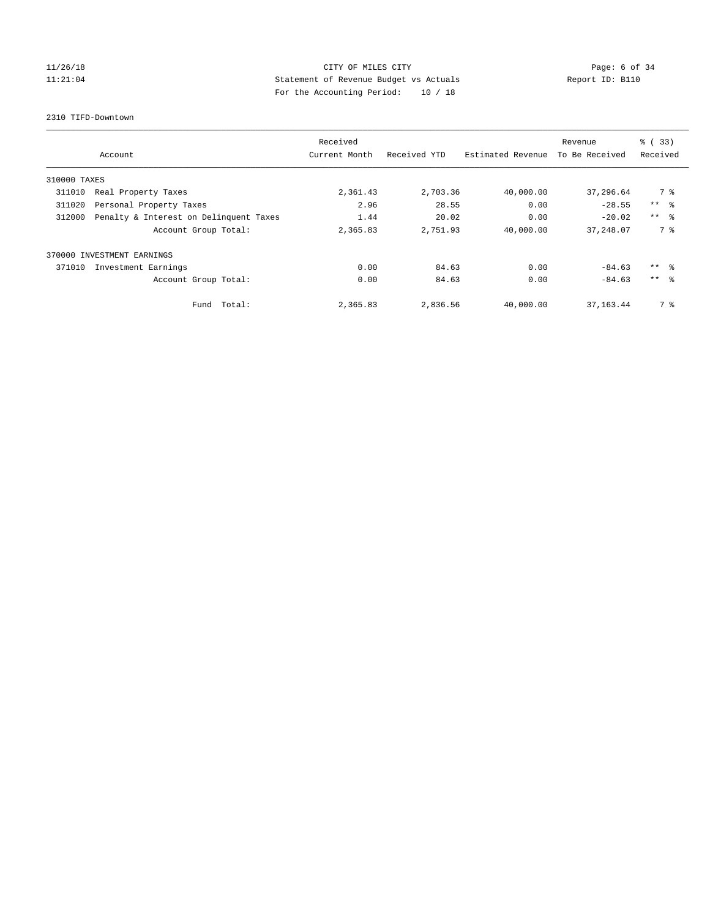# 11/26/18 Page: 6 of 34 11:21:04 Statement of Revenue Budget vs Actuals Report ID: B110 For the Accounting Period: 10 / 18

#### 2310 TIFD-Downtown

|              |                                        | Received      |              |                   | Revenue        | % (33)          |
|--------------|----------------------------------------|---------------|--------------|-------------------|----------------|-----------------|
|              | Account                                | Current Month | Received YTD | Estimated Revenue | To Be Received | Received        |
| 310000 TAXES |                                        |               |              |                   |                |                 |
| 311010       | Real Property Taxes                    | 2,361.43      | 2,703.36     | 40,000.00         | 37,296.64      | 7 %             |
| 311020       | Personal Property Taxes                | 2.96          | 28.55        | 0.00              | $-28.55$       | $***$ $ -$      |
| 312000       | Penalty & Interest on Delinquent Taxes | 1.44          | 20.02        | 0.00              | $-20.02$       | $***$ $\approx$ |
|              | Account Group Total:                   | 2,365.83      | 2,751.93     | 40,000.00         | 37,248.07      | 7 %             |
|              | 370000 INVESTMENT EARNINGS             |               |              |                   |                |                 |
| 371010       | Investment Earnings                    | 0.00          | 84.63        | 0.00              | $-84.63$       | ** 왕            |
|              | Account Group Total:                   | 0.00          | 84.63        | 0.00              | $-84.63$       | $***$ $\approx$ |
|              | Fund Total:                            | 2,365.83      | 2,836.56     | 40,000.00         | 37, 163.44     | 7 %             |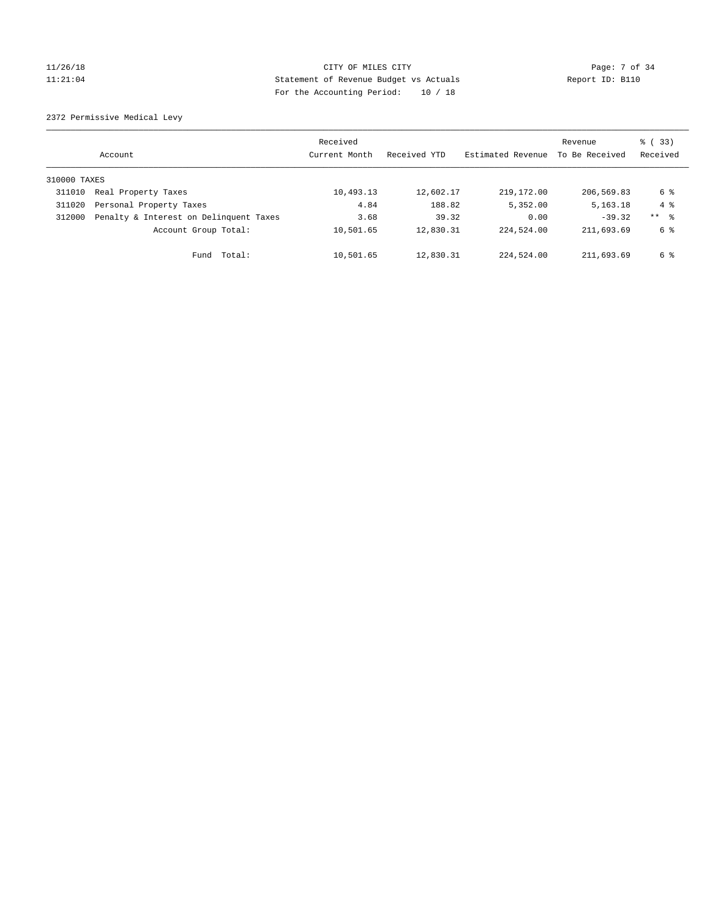# 11/26/18 Page: 7 of 34 11:21:04 Statement of Revenue Budget vs Actuals Report ID: B110 For the Accounting Period: 10 / 18

2372 Permissive Medical Levy

|              | Account                                | Received<br>Current Month | Received YTD | Estimated Revenue | Revenue<br>To Be Received | % (33)<br>Received |
|--------------|----------------------------------------|---------------------------|--------------|-------------------|---------------------------|--------------------|
| 310000 TAXES |                                        |                           |              |                   |                           |                    |
| 311010       | Real Property Taxes                    | 10,493.13                 | 12,602.17    | 219,172.00        | 206,569.83                | 6 %                |
| 311020       | Personal Property Taxes                | 4.84                      | 188.82       | 5,352.00          | 5, 163. 18                | $4 \text{ }$       |
| 312000       | Penalty & Interest on Delinquent Taxes | 3.68                      | 39.32        | 0.00              | $-39.32$                  | ** 8               |
|              | Account Group Total:                   | 10,501.65                 | 12,830.31    | 224,524.00        | 211,693.69                | 6 %                |
|              | Total:<br>Fund                         | 10,501.65                 | 12,830.31    | 224,524.00        | 211,693.69                | 6 %                |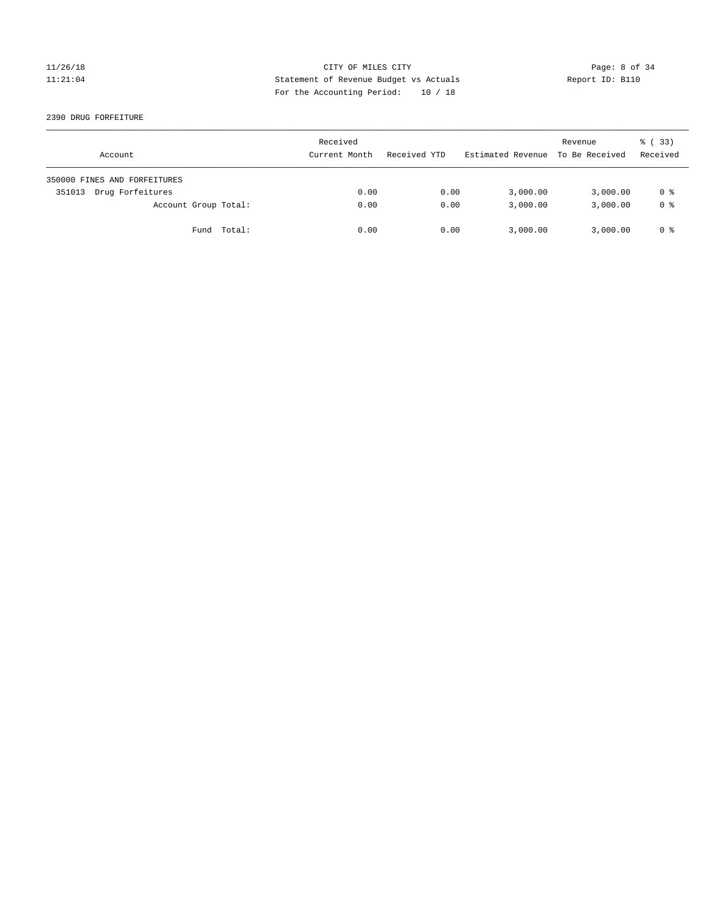2390 DRUG FORFEITURE

| Account                      | Received<br>Current Month | Received YTD | Estimated Revenue | Revenue<br>To Be Received | 8 (33)<br>Received |
|------------------------------|---------------------------|--------------|-------------------|---------------------------|--------------------|
| 350000 FINES AND FORFEITURES |                           |              |                   |                           |                    |
| Drug Forfeitures<br>351013   | 0.00                      | 0.00         | 3,000.00          | 3,000.00                  | 0 %                |
| Account Group Total:         | 0.00                      | 0.00         | 3,000.00          | 3,000.00                  | 0 <sup>8</sup>     |
| Fund Total:                  | 0.00                      | 0.00         | 3,000.00          | 3,000.00                  | 0 %                |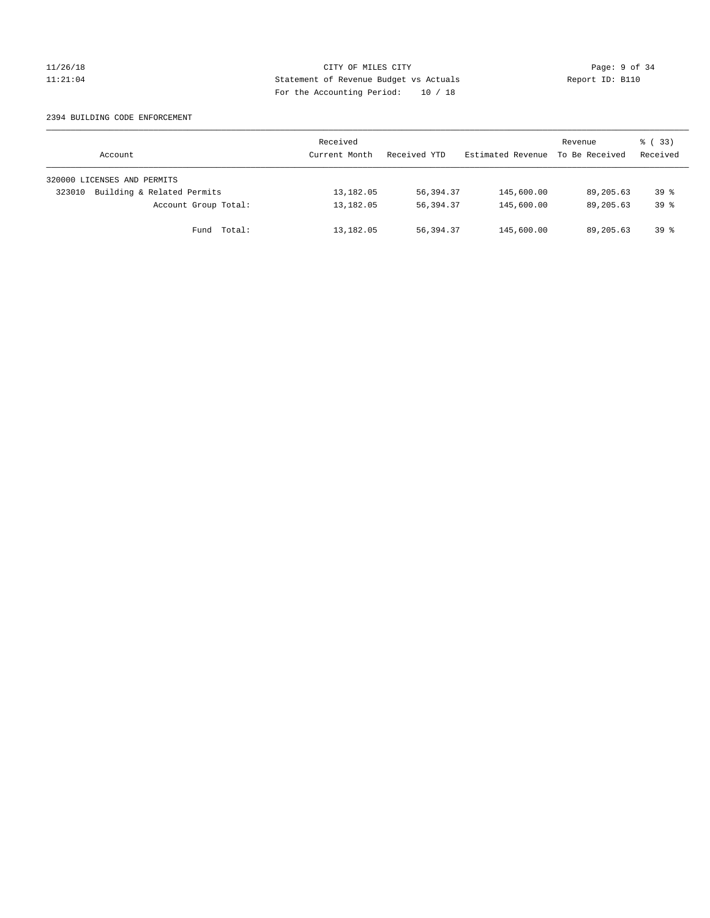#### 2394 BUILDING CODE ENFORCEMENT

| Account                              | Received<br>Current Month | Received YTD | Estimated Revenue | Revenue<br>To Be Received | 8 (33)<br>Received |
|--------------------------------------|---------------------------|--------------|-------------------|---------------------------|--------------------|
| 320000 LICENSES AND PERMITS          |                           |              |                   |                           |                    |
| Building & Related Permits<br>323010 | 13,182.05                 | 56,394.37    | 145,600.00        | 89,205.63                 | $39*$              |
| Account Group Total:                 | 13,182.05                 | 56,394.37    | 145,600.00        | 89,205.63                 | $39*$              |
| Fund Total:                          | 13,182.05                 | 56,394.37    | 145,600.00        | 89,205.63                 | $39*$              |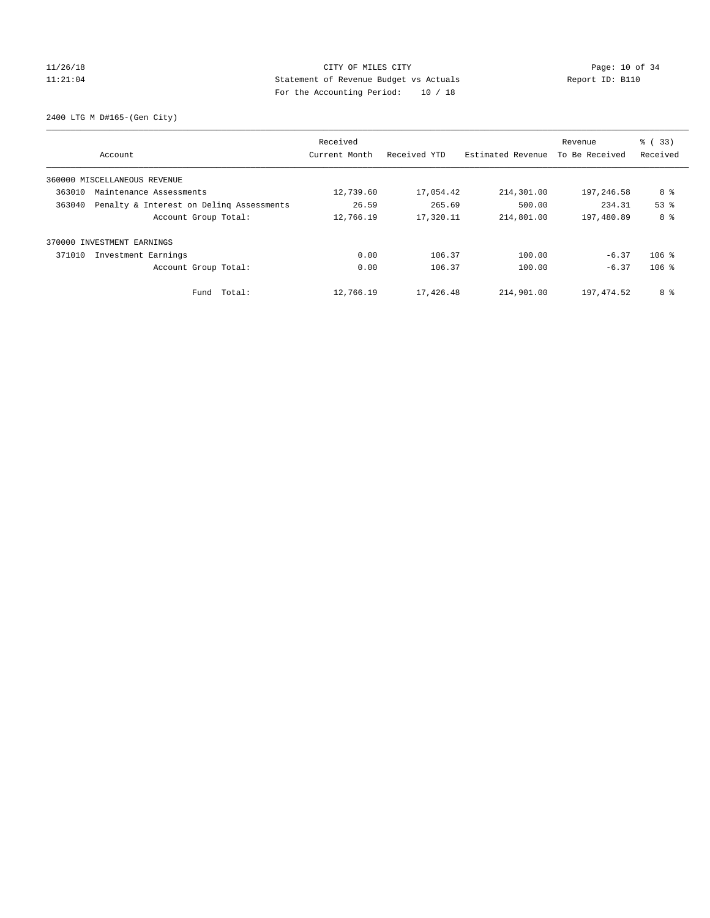2400 LTG M D#165-(Gen City)

|        | Account                                  | Received<br>Current Month | Received YTD | Estimated Revenue | Revenue<br>To Be Received | % (33)<br>Received |
|--------|------------------------------------------|---------------------------|--------------|-------------------|---------------------------|--------------------|
|        |                                          |                           |              |                   |                           |                    |
|        | 360000 MISCELLANEOUS REVENUE             |                           |              |                   |                           |                    |
| 363010 | Maintenance Assessments                  | 12,739.60                 | 17,054.42    | 214,301.00        | 197,246.58                | 8 %                |
| 363040 | Penalty & Interest on Deling Assessments | 26.59                     | 265.69       | 500.00            | 234.31                    | 53 <sup>8</sup>    |
|        | Account Group Total:                     | 12,766.19                 | 17,320.11    | 214,801.00        | 197,480.89                | 8 %                |
|        | 370000 INVESTMENT EARNINGS               |                           |              |                   |                           |                    |
| 371010 | Investment Earnings                      | 0.00                      | 106.37       | 100.00            | $-6.37$                   | $106$ %            |
|        | Account Group Total:                     | 0.00                      | 106.37       | 100.00            | $-6.37$                   | $106$ %            |
|        | Total:<br>Fund                           | 12,766.19                 | 17,426.48    | 214,901.00        | 197,474.52                | 8 %                |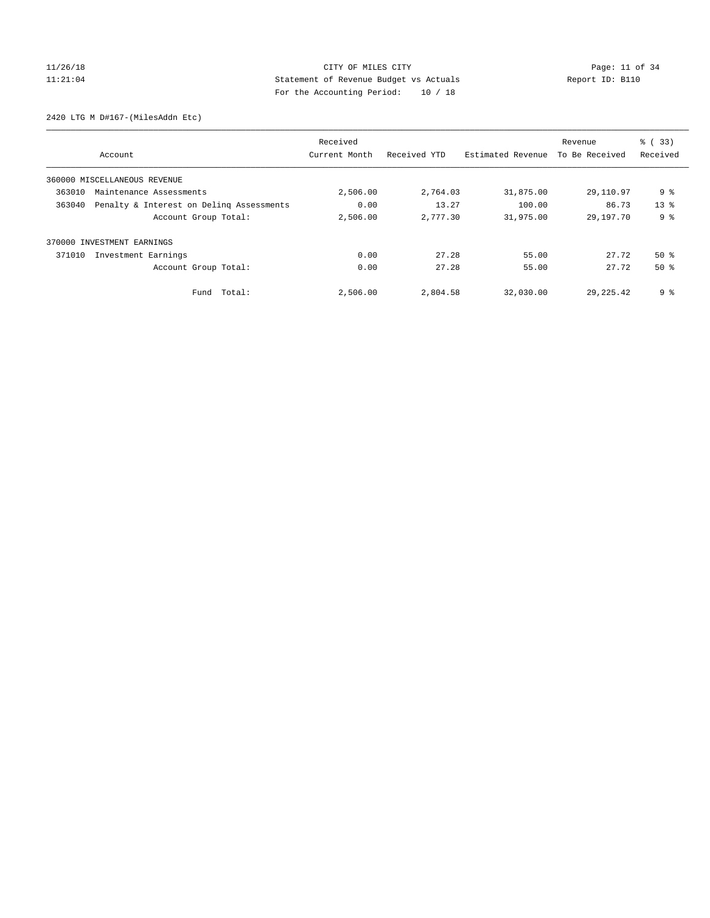2420 LTG M D#167-(MilesAddn Etc)

|        |                                          | Received      |              |                   | Revenue        | % (33)         |
|--------|------------------------------------------|---------------|--------------|-------------------|----------------|----------------|
|        | Account                                  | Current Month | Received YTD | Estimated Revenue | To Be Received | Received       |
|        | 360000 MISCELLANEOUS REVENUE             |               |              |                   |                |                |
| 363010 | Maintenance Assessments                  | 2,506.00      | 2,764.03     | 31,875.00         | 29,110.97      | 9 <sup>°</sup> |
| 363040 | Penalty & Interest on Deling Assessments | 0.00          | 13.27        | 100.00            | 86.73          | $13*$          |
|        | Account Group Total:                     | 2,506.00      | 2,777.30     | 31,975.00         | 29, 197. 70    | 9 <sub>8</sub> |
|        | 370000 INVESTMENT EARNINGS               |               |              |                   |                |                |
| 371010 | Investment Earnings                      | 0.00          | 27.28        | 55.00             | 27.72          | $50*$          |
|        | Account Group Total:                     | 0.00          | 27.28        | 55.00             | 27.72          | $50*$          |
|        | Fund Total:                              | 2,506.00      | 2,804.58     | 32,030.00         | 29, 225, 42    | 9%             |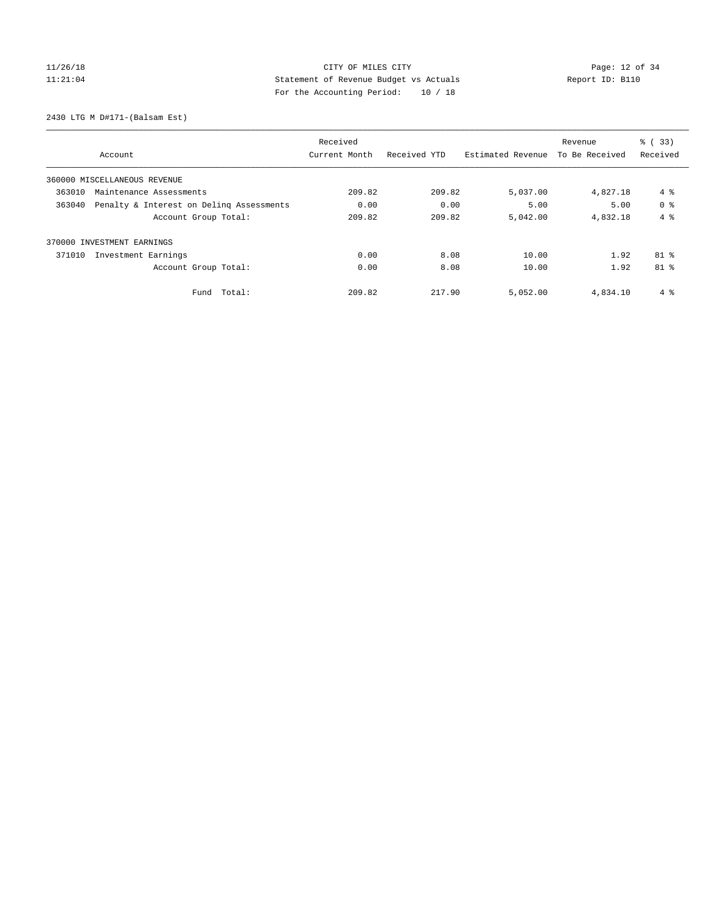2430 LTG M D#171-(Balsam Est)

|                                                    | Received      |              |                   | Revenue        | % (33)         |
|----------------------------------------------------|---------------|--------------|-------------------|----------------|----------------|
| Account                                            | Current Month | Received YTD | Estimated Revenue | To Be Received | Received       |
| 360000 MISCELLANEOUS REVENUE                       |               |              |                   |                |                |
| 363010<br>Maintenance Assessments                  | 209.82        | 209.82       | 5,037.00          | 4,827.18       | 4%             |
| Penalty & Interest on Deling Assessments<br>363040 | 0.00          | 0.00         | 5.00              | 5.00           | 0 <sup>8</sup> |
| Account Group Total:                               | 209.82        | 209.82       | 5,042.00          | 4,832.18       | $4 \text{ }$   |
| 370000 INVESTMENT EARNINGS                         |               |              |                   |                |                |
| 371010<br>Investment Earnings                      | 0.00          | 8.08         | 10.00             | 1.92           | $81$ %         |
| Account Group Total:                               | 0.00          | 8.08         | 10.00             | 1.92           | 81 %           |
| Total:<br>Fund                                     | 209.82        | 217.90       | 5,052.00          | 4,834.10       | 4%             |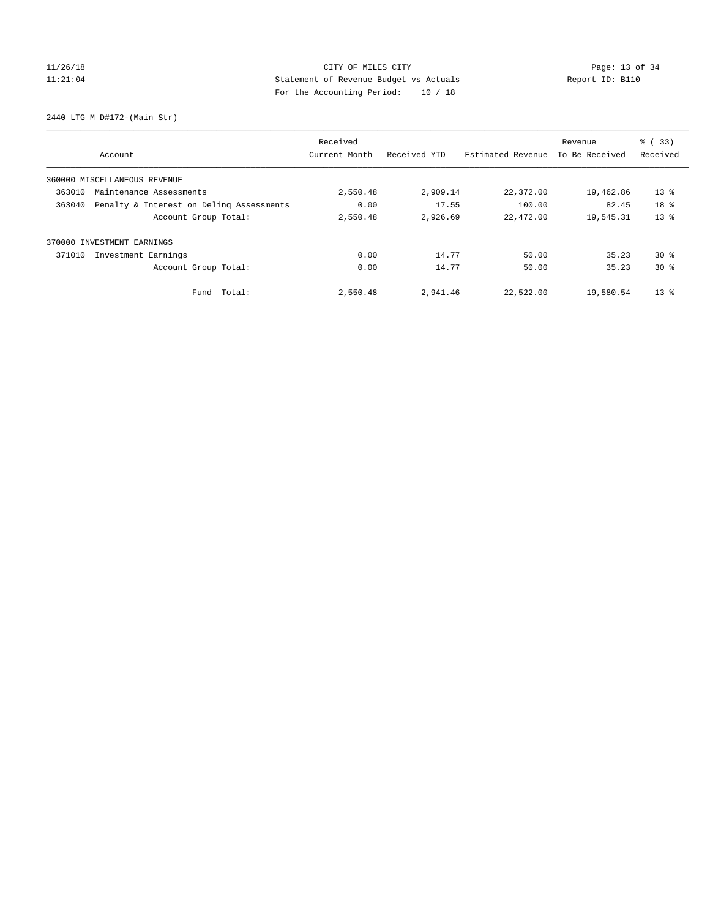2440 LTG M D#172-(Main Str)

|        |                                          | Received      |              |                   | Revenue        | % (33)   |
|--------|------------------------------------------|---------------|--------------|-------------------|----------------|----------|
|        | Account                                  | Current Month | Received YTD | Estimated Revenue | To Be Received | Received |
|        | 360000 MISCELLANEOUS REVENUE             |               |              |                   |                |          |
| 363010 | Maintenance Assessments                  | 2,550.48      | 2,909.14     | 22,372.00         | 19,462.86      | $13*$    |
| 363040 | Penalty & Interest on Deling Assessments | 0.00          | 17.55        | 100.00            | 82.45          | 18 %     |
|        | Account Group Total:                     | 2,550.48      | 2,926.69     | 22,472.00         | 19,545.31      | $13*$    |
| 370000 | INVESTMENT EARNINGS                      |               |              |                   |                |          |
| 371010 | Investment Earnings                      | 0.00          | 14.77        | 50.00             | 35.23          | $30*$    |
|        | Account Group Total:                     | 0.00          | 14.77        | 50.00             | 35.23          | $30*$    |
|        | Fund Total:                              | 2,550.48      | 2,941.46     | 22,522.00         | 19,580.54      | $13*$    |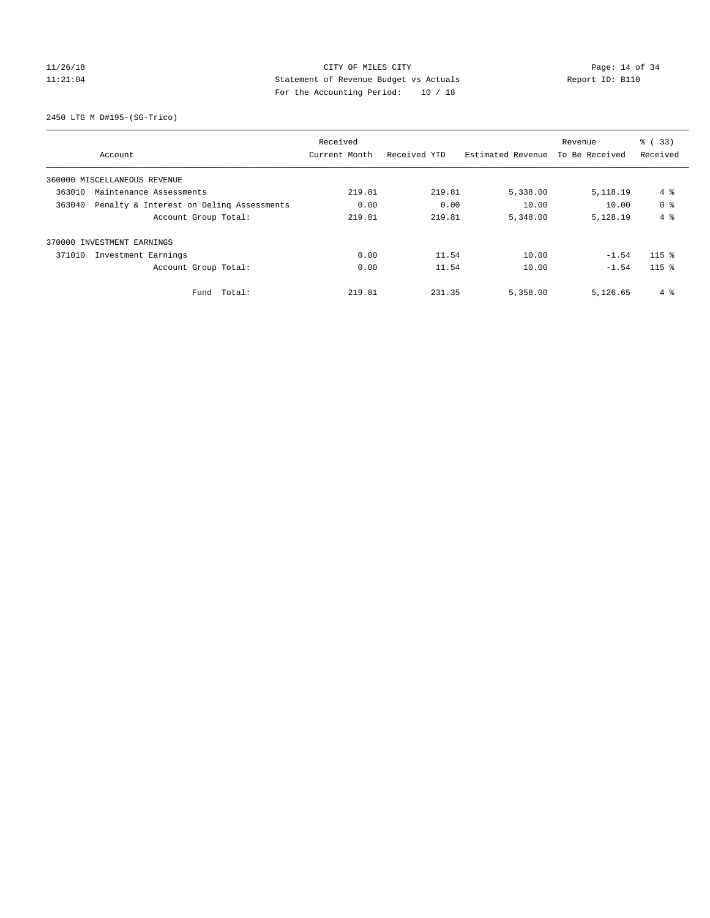2450 LTG M D#195-(SG-Trico)

|        |                                          | Received      |              |                   | Revenue        | % (33)         |
|--------|------------------------------------------|---------------|--------------|-------------------|----------------|----------------|
|        | Account                                  | Current Month | Received YTD | Estimated Revenue | To Be Received | Received       |
|        | 360000 MISCELLANEOUS REVENUE             |               |              |                   |                |                |
| 363010 | Maintenance Assessments                  | 219.81        | 219.81       | 5,338.00          | 5,118.19       | 4%             |
| 363040 | Penalty & Interest on Deling Assessments | 0.00          | 0.00         | 10.00             | 10.00          | 0 <sup>8</sup> |
|        | Account Group Total:                     | 219.81        | 219.81       | 5,348.00          | 5,128.19       | $4 \text{ }$   |
|        | 370000 INVESTMENT EARNINGS               |               |              |                   |                |                |
| 371010 | Investment Earnings                      | 0.00          | 11.54        | 10.00             | $-1.54$        | $115$ %        |
|        | Account Group Total:                     | 0.00          | 11.54        | 10.00             | $-1.54$        | $115$ %        |
|        | Fund Total:                              | 219.81        | 231.35       | 5,358.00          | 5,126.65       | 4 %            |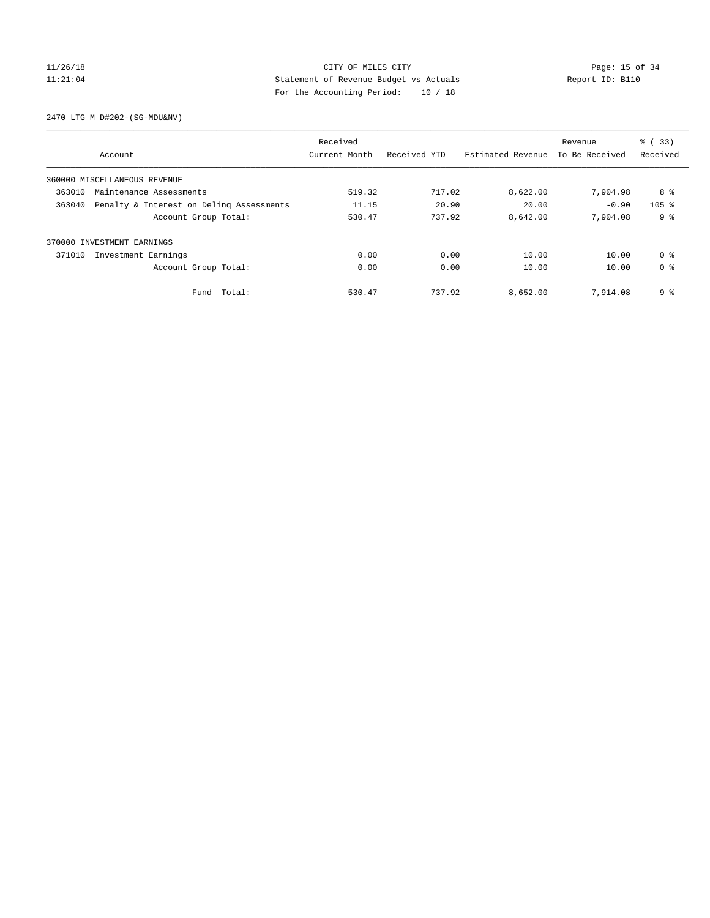2470 LTG M D#202-(SG-MDU&NV)

|        |                                          | Received      |              |                   | Revenue        | % (33)           |
|--------|------------------------------------------|---------------|--------------|-------------------|----------------|------------------|
|        | Account                                  | Current Month | Received YTD | Estimated Revenue | To Be Received | Received         |
|        | 360000 MISCELLANEOUS REVENUE             |               |              |                   |                |                  |
| 363010 | Maintenance Assessments                  | 519.32        | 717.02       | 8,622.00          | 7,904.98       | 8 %              |
| 363040 | Penalty & Interest on Deling Assessments | 11.15         | 20.90        | 20.00             | $-0.90$        | 105 <sup>8</sup> |
|        | Account Group Total:                     | 530.47        | 737.92       | 8,642.00          | 7,904.08       | 9 <sup>°</sup>   |
|        | 370000 INVESTMENT EARNINGS               |               |              |                   |                |                  |
| 371010 | Investment Earnings                      | 0.00          | 0.00         | 10.00             | 10.00          | 0 <sup>8</sup>   |
|        | Account Group Total:                     | 0.00          | 0.00         | 10.00             | 10.00          | 0 <sup>8</sup>   |
|        | Fund Total:                              | 530.47        | 737.92       | 8,652.00          | 7,914.08       | 9%               |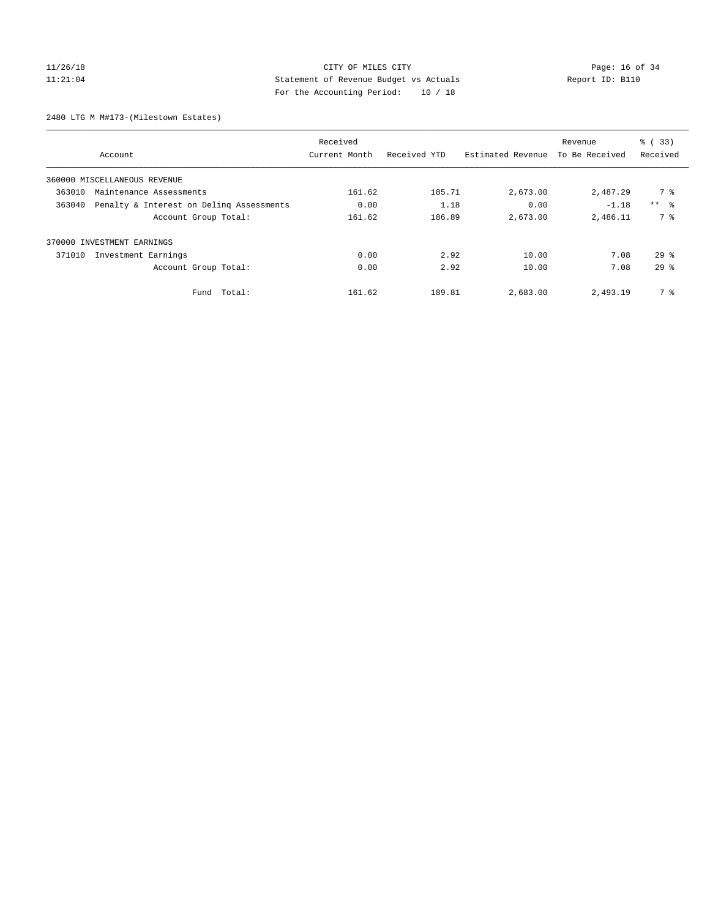# 11/26/18 Page: 16 of 34 11:21:04 Statement of Revenue Budget vs Actuals Report ID: B110 For the Accounting Period: 10 / 18

2480 LTG M M#173-(Milestown Estates)

|        |                                          | Received      |              |                   | Revenue        | $\frac{1}{6}$ (33) |
|--------|------------------------------------------|---------------|--------------|-------------------|----------------|--------------------|
|        | Account                                  | Current Month | Received YTD | Estimated Revenue | To Be Received | Received           |
|        | 360000 MISCELLANEOUS REVENUE             |               |              |                   |                |                    |
| 363010 | Maintenance Assessments                  | 161.62        | 185.71       | 2,673.00          | 2,487.29       | 7 %                |
| 363040 | Penalty & Interest on Deling Assessments | 0.00          | 1.18         | 0.00              | $-1.18$        | $***$ $ -$         |
|        | Account Group Total:                     | 161.62        | 186.89       | 2,673.00          | 2,486.11       | 7 %                |
|        | 370000 INVESTMENT EARNINGS               |               |              |                   |                |                    |
| 371010 | Investment Earnings                      | 0.00          | 2.92         | 10.00             | 7.08           | $29*$              |
|        | Account Group Total:                     | 0.00          | 2.92         | 10.00             | 7.08           | $29$ $%$           |
|        | Total:<br>Fund                           | 161.62        | 189.81       | 2,683.00          | 2,493.19       | 7 %                |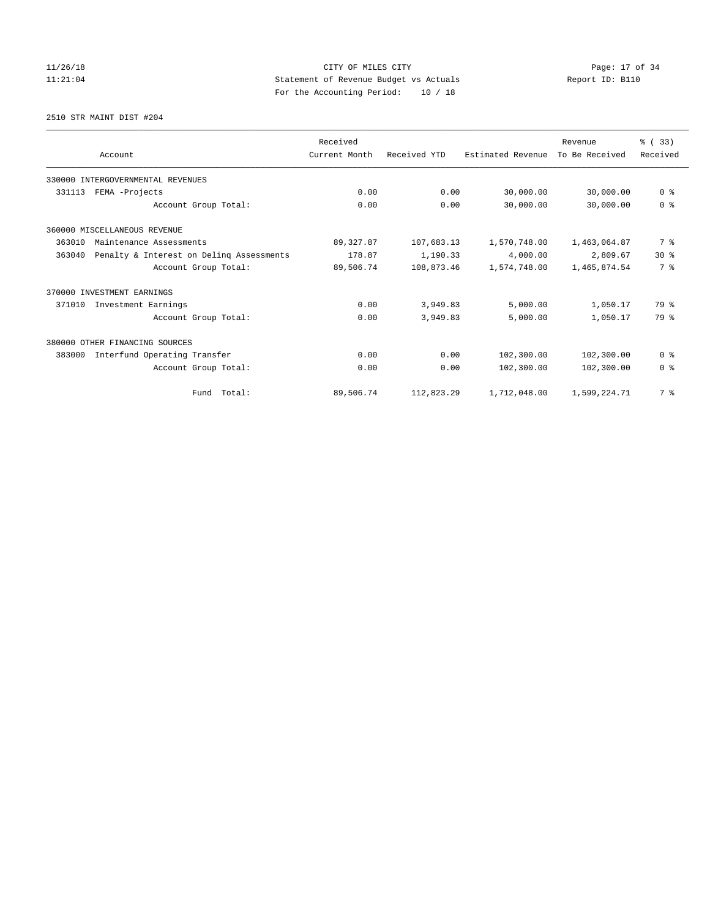2510 STR MAINT DIST #204

|        |                                          | Received      |              |                   | Revenue        | % (33)         |
|--------|------------------------------------------|---------------|--------------|-------------------|----------------|----------------|
|        | Account                                  | Current Month | Received YTD | Estimated Revenue | To Be Received | Received       |
|        | 330000 INTERGOVERNMENTAL REVENUES        |               |              |                   |                |                |
| 331113 | FEMA -Projects                           | 0.00          | 0.00         | 30,000.00         | 30,000.00      | 0 <sup>8</sup> |
|        | Account Group Total:                     | 0.00          | 0.00         | 30,000.00         | 30,000.00      | 0 <sup>8</sup> |
|        | 360000 MISCELLANEOUS REVENUE             |               |              |                   |                |                |
| 363010 | Maintenance Assessments                  | 89, 327.87    | 107,683.13   | 1,570,748.00      | 1,463,064.87   | 7 %            |
| 363040 | Penalty & Interest on Delinq Assessments | 178.87        | 1,190.33     | 4,000.00          | 2,809.67       | $30*$          |
|        | Account Group Total:                     | 89,506.74     | 108,873.46   | 1,574,748.00      | 1,465,874.54   | 7 %            |
|        | 370000 INVESTMENT EARNINGS               |               |              |                   |                |                |
| 371010 | Investment Earnings                      | 0.00          | 3,949.83     | 5,000.00          | 1,050.17       | 79 %           |
|        | Account Group Total:                     | 0.00          | 3,949.83     | 5,000.00          | 1,050.17       | 79 %           |
|        | 380000 OTHER FINANCING SOURCES           |               |              |                   |                |                |
| 383000 | Interfund Operating Transfer             | 0.00          | 0.00         | 102,300.00        | 102,300.00     | 0 <sup>8</sup> |
|        | Account Group Total:                     | 0.00          | 0.00         | 102,300.00        | 102,300.00     | 0 <sup>8</sup> |
|        | Fund Total:                              | 89,506.74     | 112,823.29   | 1,712,048.00      | 1,599,224.71   | 7 <sup>8</sup> |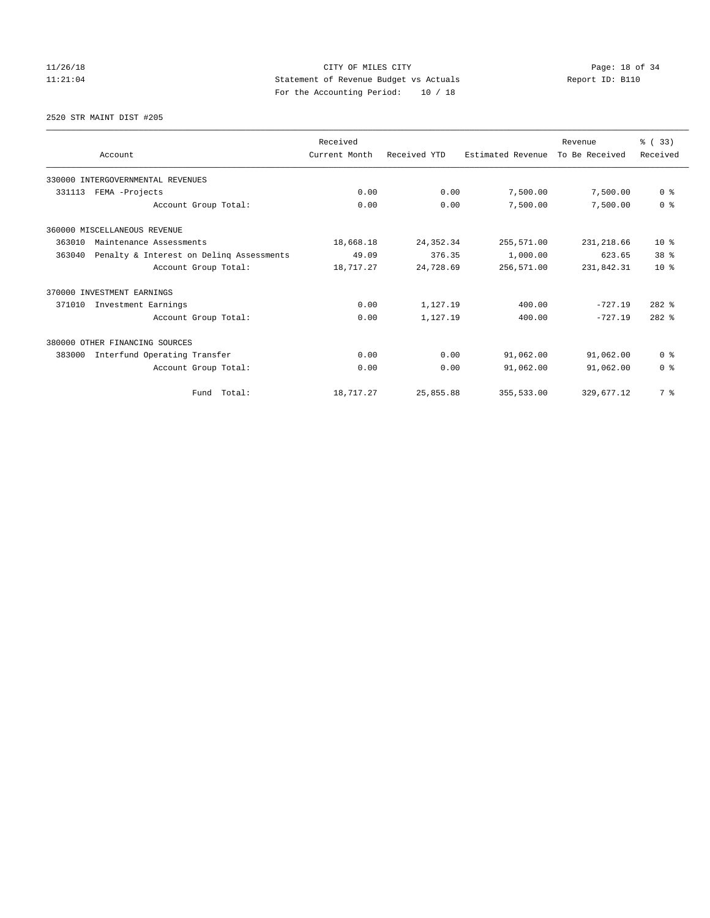2520 STR MAINT DIST #205

|        |                                          | Received      |              |                   | Revenue        | % (33)          |
|--------|------------------------------------------|---------------|--------------|-------------------|----------------|-----------------|
|        | Account                                  | Current Month | Received YTD | Estimated Revenue | To Be Received | Received        |
|        | 330000 INTERGOVERNMENTAL REVENUES        |               |              |                   |                |                 |
| 331113 | FEMA -Projects                           | 0.00          | 0.00         | 7,500.00          | 7,500.00       | 0 <sup>8</sup>  |
|        | Account Group Total:                     | 0.00          | 0.00         | 7,500.00          | 7,500.00       | 0 <sup>8</sup>  |
|        | 360000 MISCELLANEOUS REVENUE             |               |              |                   |                |                 |
| 363010 | Maintenance Assessments                  | 18,668.18     | 24, 352.34   | 255,571.00        | 231, 218.66    | $10*$           |
| 363040 | Penalty & Interest on Deling Assessments | 49.09         | 376.35       | 1,000.00          | 623.65         | 38 <sup>8</sup> |
|        | Account Group Total:                     | 18,717.27     | 24,728.69    | 256,571.00        | 231,842.31     | $10*$           |
|        | 370000 INVESTMENT EARNINGS               |               |              |                   |                |                 |
| 371010 | Investment Earnings                      | 0.00          | 1,127.19     | 400.00            | $-727.19$      | $282$ %         |
|        | Account Group Total:                     | 0.00          | 1,127.19     | 400.00            | $-727.19$      | $282$ %         |
|        | 380000 OTHER FINANCING SOURCES           |               |              |                   |                |                 |
| 383000 | Interfund Operating Transfer             | 0.00          | 0.00         | 91,062.00         | 91,062.00      | 0 <sup>8</sup>  |
|        | Account Group Total:                     | 0.00          | 0.00         | 91,062.00         | 91,062.00      | 0 <sup>8</sup>  |
|        | Fund Total:                              | 18,717.27     | 25,855.88    | 355,533.00        | 329,677.12     | 7 %             |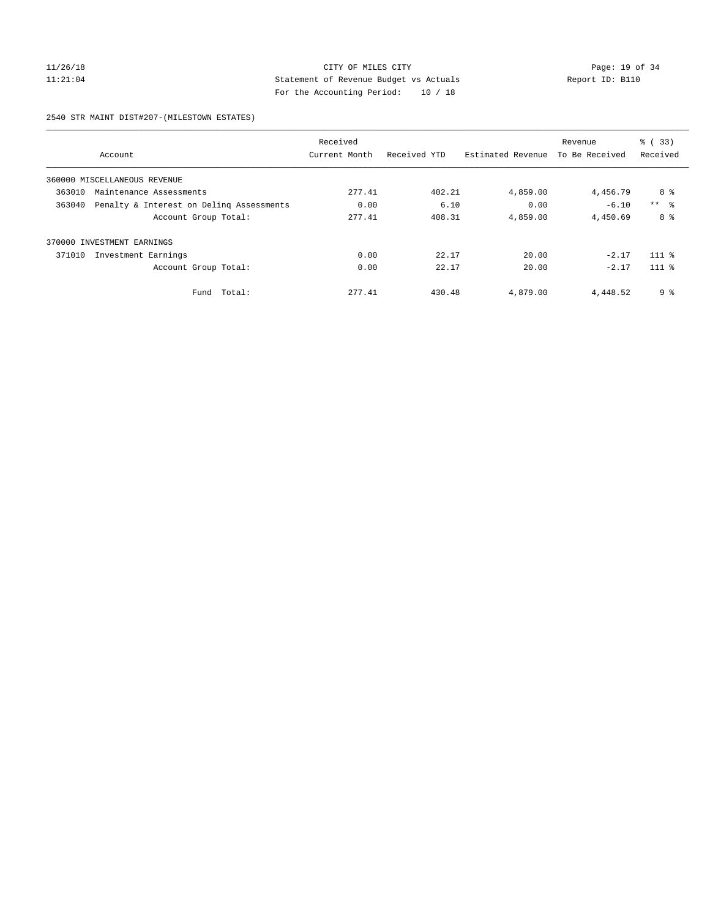# 11/26/18 Page: 19 of 34 11:21:04 Statement of Revenue Budget vs Actuals Report ID: B110 For the Accounting Period: 10 / 18

2540 STR MAINT DIST#207-(MILESTOWN ESTATES)

|        |                                          | Received      |              |                   | Revenue        | % (33)          |
|--------|------------------------------------------|---------------|--------------|-------------------|----------------|-----------------|
|        | Account                                  | Current Month | Received YTD | Estimated Revenue | To Be Received | Received        |
|        | 360000 MISCELLANEOUS REVENUE             |               |              |                   |                |                 |
| 363010 | Maintenance Assessments                  | 277.41        | 402.21       | 4,859.00          | 4,456.79       | 8 %             |
| 363040 | Penalty & Interest on Deling Assessments | 0.00          | 6.10         | 0.00              | $-6.10$        | $***$ $\approx$ |
|        | Account Group Total:                     | 277.41        | 408.31       | 4,859.00          | 4,450.69       | 8 %             |
|        | 370000 INVESTMENT EARNINGS               |               |              |                   |                |                 |
| 371010 | Investment Earnings                      | 0.00          | 22.17        | 20.00             | $-2.17$        | $111$ %         |
|        | Account Group Total:                     | 0.00          | 22.17        | 20.00             | $-2.17$        | $111$ $%$       |
|        | Total:<br>Fund                           | 277.41        | 430.48       | 4,879.00          | 4,448.52       | 9 %             |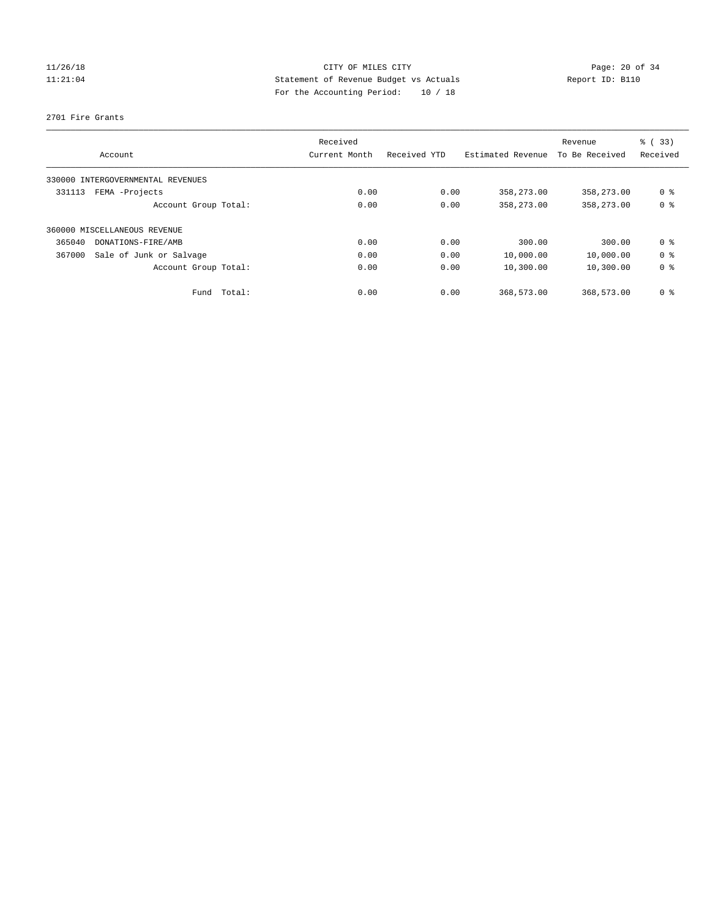#### 2701 Fire Grants

|        |                              | Received      |              |                   | Revenue        | $\frac{6}{6}$ (33) |
|--------|------------------------------|---------------|--------------|-------------------|----------------|--------------------|
|        | Account                      | Current Month | Received YTD | Estimated Revenue | To Be Received | Received           |
| 330000 | INTERGOVERNMENTAL REVENUES   |               |              |                   |                |                    |
| 331113 | FEMA -Projects               | 0.00          | 0.00         | 358,273.00        | 358,273.00     | 0 <sup>8</sup>     |
|        | Account Group Total:         | 0.00          | 0.00         | 358,273.00        | 358,273.00     | 0 <sup>8</sup>     |
|        | 360000 MISCELLANEOUS REVENUE |               |              |                   |                |                    |
| 365040 | DONATIONS-FIRE/AMB           | 0.00          | 0.00         | 300.00            | 300.00         | 0 <sup>8</sup>     |
| 367000 | Sale of Junk or Salvage      | 0.00          | 0.00         | 10,000.00         | 10,000.00      | 0 <sup>8</sup>     |
|        | Account Group Total:         | 0.00          | 0.00         | 10,300.00         | 10,300.00      | 0 <sup>8</sup>     |
|        | Total:<br>Fund               | 0.00          | 0.00         | 368,573.00        | 368,573.00     | 0 <sup>8</sup>     |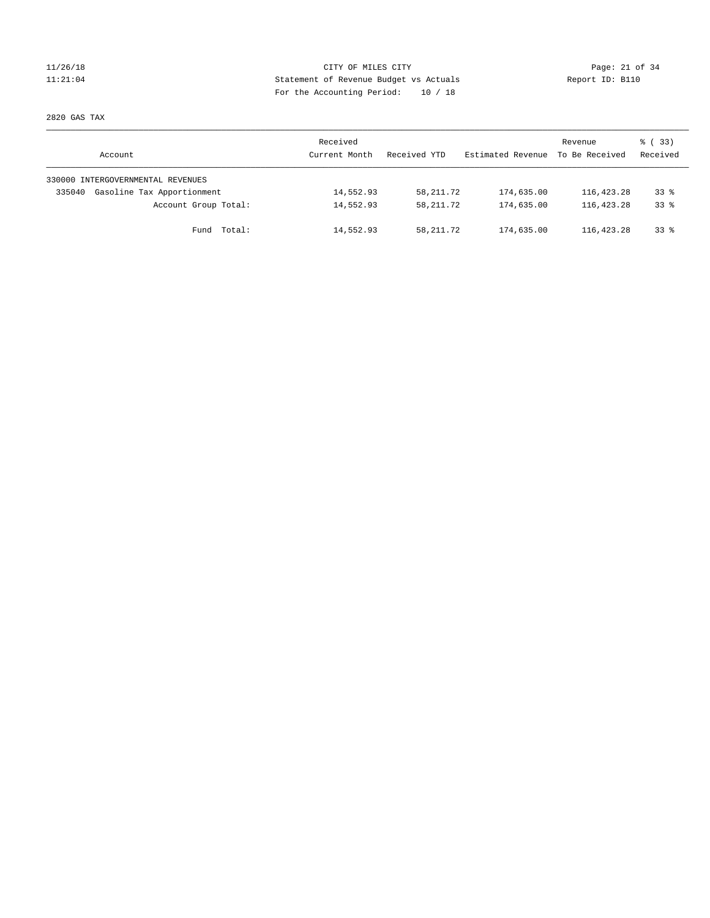# 11/26/18 Page: 21 of 34 11:21:04 Statement of Revenue Budget vs Actuals Report ID: B110 For the Accounting Period: 10 / 18

2820 GAS TAX

| Account                              | Received<br>Current Month | Received YTD | Estimated Revenue | Revenue<br>To Be Received | 8 (33)<br>Received |
|--------------------------------------|---------------------------|--------------|-------------------|---------------------------|--------------------|
| 330000 INTERGOVERNMENTAL REVENUES    |                           |              |                   |                           |                    |
| Gasoline Tax Apportionment<br>335040 | 14,552.93                 | 58,211.72    | 174,635.00        | 116, 423.28               | $33*$              |
| Account Group Total:                 | 14,552.93                 | 58,211.72    | 174,635.00        | 116,423.28                | $33*$              |
| Fund Total:                          | 14,552.93                 | 58,211.72    | 174,635.00        | 116,423.28                | $33*$              |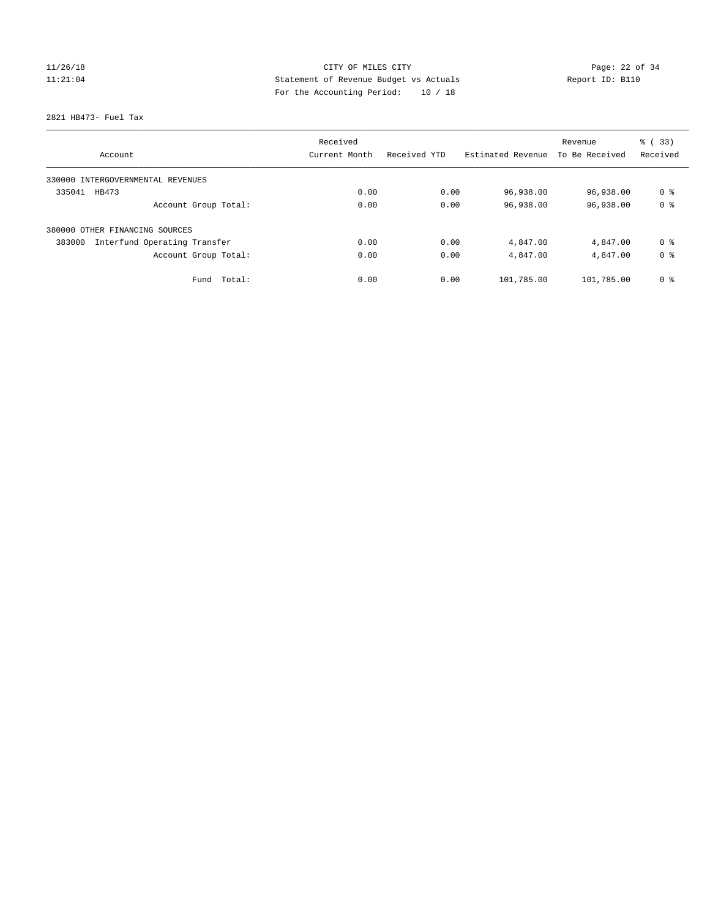2821 HB473- Fuel Tax

| Account                                | Received<br>Current Month | Received YTD | Estimated Revenue | Revenue<br>To Be Received | % (33)<br>Received |
|----------------------------------------|---------------------------|--------------|-------------------|---------------------------|--------------------|
|                                        |                           |              |                   |                           |                    |
| 330000 INTERGOVERNMENTAL REVENUES      |                           |              |                   |                           |                    |
| 335041<br>HB473                        | 0.00                      | 0.00         | 96,938.00         | 96,938.00                 | 0 <sup>8</sup>     |
| Account Group Total:                   | 0.00                      | 0.00         | 96,938.00         | 96,938.00                 | 0 <sup>8</sup>     |
| 380000 OTHER FINANCING SOURCES         |                           |              |                   |                           |                    |
| Interfund Operating Transfer<br>383000 | 0.00                      | 0.00         | 4,847.00          | 4,847.00                  | 0 %                |
| Account Group Total:                   | 0.00                      | 0.00         | 4,847.00          | 4,847.00                  | 0 <sup>8</sup>     |
| Total:<br>Fund                         | 0.00                      | 0.00         | 101,785.00        | 101,785.00                | 0 <sup>8</sup>     |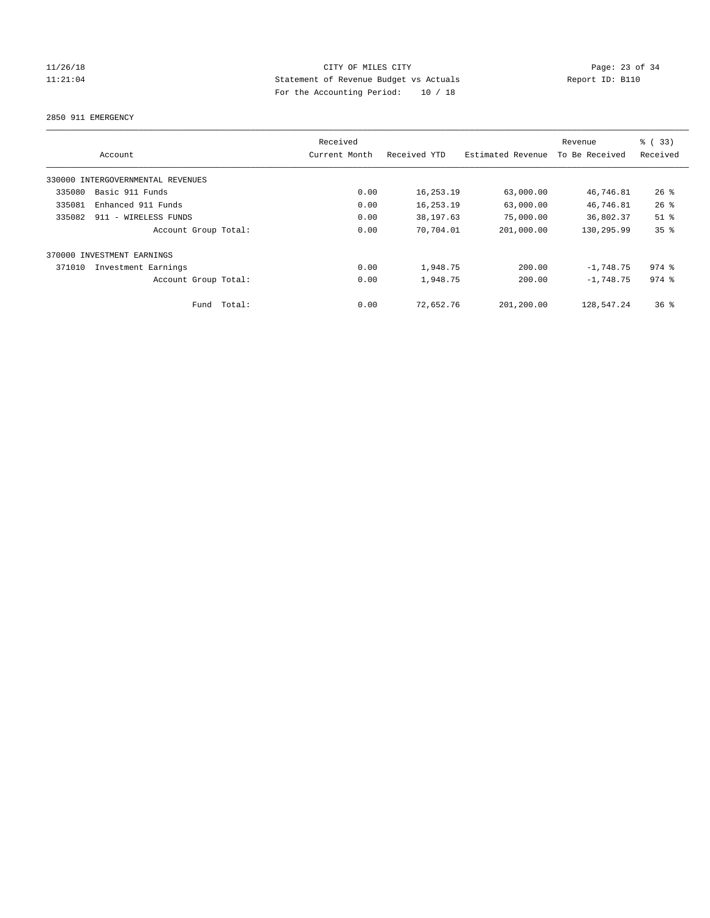# 11/26/18 Page: 23 of 34 11:21:04 Statement of Revenue Budget vs Actuals Report ID: B110 For the Accounting Period: 10 / 18

2850 911 EMERGENCY

|                                   |                      | Received      |              |                   | Revenue        | % (33)    |
|-----------------------------------|----------------------|---------------|--------------|-------------------|----------------|-----------|
| Account                           |                      | Current Month | Received YTD | Estimated Revenue | To Be Received | Received  |
| 330000 INTERGOVERNMENTAL REVENUES |                      |               |              |                   |                |           |
| 335080                            | Basic 911 Funds      | 0.00          | 16,253.19    | 63,000.00         | 46,746.81      | 26%       |
| 335081                            | Enhanced 911 Funds   | 0.00          | 16,253.19    | 63,000.00         | 46,746.81      | 26%       |
| 335082                            | 911 - WIRELESS FUNDS | 0.00          | 38,197.63    | 75,000.00         | 36,802.37      | $51$ %    |
|                                   | Account Group Total: | 0.00          | 70,704.01    | 201,000.00        | 130,295.99     | 35%       |
| 370000 INVESTMENT EARNINGS        |                      |               |              |                   |                |           |
| 371010                            | Investment Earnings  | 0.00          | 1,948.75     | 200.00            | $-1,748.75$    | $974$ $%$ |
|                                   | Account Group Total: | 0.00          | 1,948.75     | 200.00            | $-1.748.75$    | $974$ $%$ |
|                                   | Total:<br>Fund       | 0.00          | 72,652.76    | 201,200.00        | 128,547.24     | $36*$     |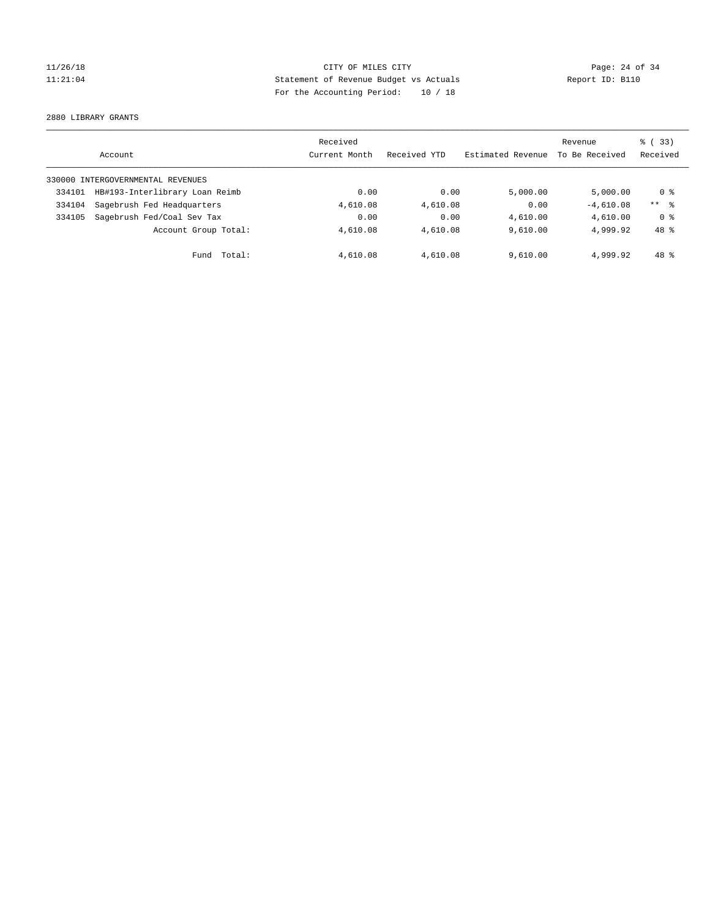# 11/26/18 Page: 24 of 34 11:21:04 Statement of Revenue Budget vs Actuals Report ID: B110 For the Accounting Period: 10 / 18

2880 LIBRARY GRANTS

|        | Account                           | Received<br>Current Month | Received YTD | Estimated Revenue | Revenue<br>To Be Received | % (33)<br>Received |
|--------|-----------------------------------|---------------------------|--------------|-------------------|---------------------------|--------------------|
|        | 330000 INTERGOVERNMENTAL REVENUES |                           |              |                   |                           |                    |
| 334101 | HB#193-Interlibrary Loan Reimb    | 0.00                      | 0.00         | 5.000.00          | 5.000.00                  | 0 %                |
| 334104 | Sagebrush Fed Headquarters        | 4,610.08                  | 4,610.08     | 0.00              | $-4,610.08$               | $***$ $\approx$    |
| 334105 | Sagebrush Fed/Coal Sev Tax        | 0.00                      | 0.00         | 4,610.00          | 4,610.00                  | 0 <sup>8</sup>     |
|        | Account Group Total:              | 4,610.08                  | 4,610.08     | 9.610.00          | 4,999.92                  | 48 %               |
|        | Total:<br>Fund                    | 4,610.08                  | 4,610.08     | 9,610.00          | 4,999.92                  | 48 %               |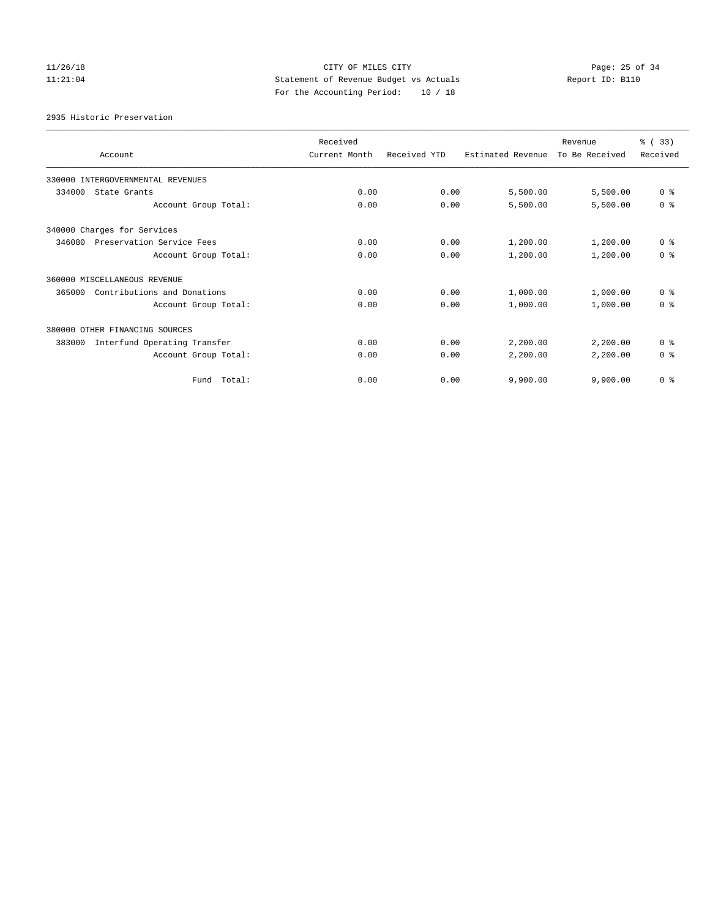# $CITY$  OF MILES  $CITY$  and the contract of  $P_1$   $P_2$  and  $P_3$   $P_4$   $P_5$   $P_6$   $P_7$   $P_8$   $P_8$   $P_9$   $P_9$   $P_9$   $P_9$   $P_9$   $P_9$   $P_9$   $P_9$   $P_9$   $P_9$   $P_9$   $P_9$   $P_9$   $P_9$   $P_9$   $P_9$   $P_9$   $P_9$   $P_9$   $P_9$   $P_9$ 11:21:04 Statement of Revenue Budget vs Actuals Report ID: B110 For the Accounting Period: 10 / 18

2935 Historic Preservation

|                                        | Received      |              |                   | Revenue        | % (33)         |
|----------------------------------------|---------------|--------------|-------------------|----------------|----------------|
| Account                                | Current Month | Received YTD | Estimated Revenue | To Be Received | Received       |
| 330000 INTERGOVERNMENTAL REVENUES      |               |              |                   |                |                |
| 334000<br>State Grants                 | 0.00          | 0.00         | 5,500.00          | 5,500.00       | 0 <sup>8</sup> |
| Account Group Total:                   | 0.00          | 0.00         | 5,500.00          | 5,500.00       | 0 <sup>8</sup> |
| 340000 Charges for Services            |               |              |                   |                |                |
| Preservation Service Fees<br>346080    | 0.00          | 0.00         | 1,200.00          | 1,200.00       | 0 <sup>8</sup> |
| Account Group Total:                   | 0.00          | 0.00         | 1,200.00          | 1,200.00       | 0 <sup>8</sup> |
| 360000 MISCELLANEOUS REVENUE           |               |              |                   |                |                |
| Contributions and Donations<br>365000  | 0.00          | 0.00         | 1,000.00          | 1,000.00       | 0 <sup>8</sup> |
| Account Group Total:                   | 0.00          | 0.00         | 1,000.00          | 1,000.00       | 0 <sup>8</sup> |
| 380000 OTHER FINANCING SOURCES         |               |              |                   |                |                |
| Interfund Operating Transfer<br>383000 | 0.00          | 0.00         | 2,200.00          | 2,200.00       | 0 <sup>8</sup> |
| Account Group Total:                   | 0.00          | 0.00         | 2,200.00          | 2,200.00       | 0 <sup>8</sup> |
| Total:<br>Fund                         | 0.00          | 0.00         | 9,900.00          | 9,900.00       | 0 <sup>8</sup> |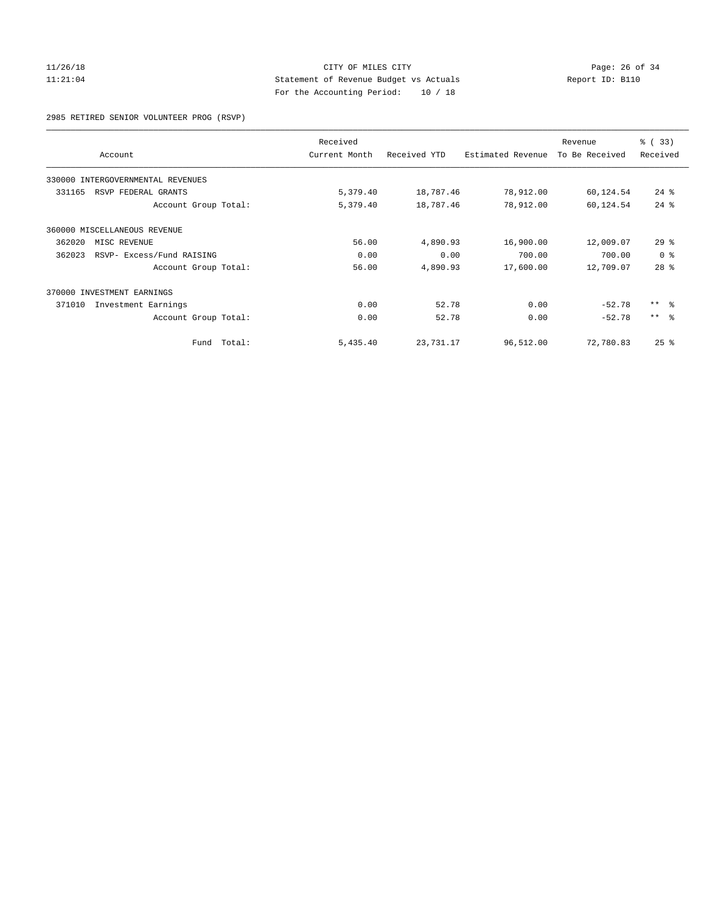# 11/26/18 Page: 26 of 34 11:21:04 Statement of Revenue Budget vs Actuals Report ID: B110 For the Accounting Period: 10 / 18

2985 RETIRED SENIOR VOLUNTEER PROG (RSVP)

| Account                             |        | Received<br>Current Month | Received YTD | Estimated Revenue | Revenue<br>To Be Received | % (33)<br>Received |
|-------------------------------------|--------|---------------------------|--------------|-------------------|---------------------------|--------------------|
| 330000 INTERGOVERNMENTAL REVENUES   |        |                           |              |                   |                           |                    |
| 331165<br>RSVP FEDERAL GRANTS       |        | 5,379.40                  | 18,787.46    | 78,912.00         | 60,124.54                 | $24$ $\frac{6}{3}$ |
| Account Group Total:                |        | 5,379.40                  | 18,787.46    | 78,912.00         | 60,124.54                 | $24$ $%$           |
| 360000 MISCELLANEOUS REVENUE        |        |                           |              |                   |                           |                    |
| 362020<br>MISC REVENUE              |        | 56.00                     | 4,890.93     | 16,900.00         | 12,009.07                 | $29*$              |
| 362023<br>RSVP- Excess/Fund RAISING |        | 0.00                      | 0.00         | 700.00            | 700.00                    | 0 <sup>8</sup>     |
| Account Group Total:                |        | 56.00                     | 4,890.93     | 17,600.00         | 12,709.07                 | $28$ %             |
| 370000 INVESTMENT EARNINGS          |        |                           |              |                   |                           |                    |
| 371010<br>Investment Earnings       |        | 0.00                      | 52.78        | 0.00              | $-52.78$                  | $***$ $ -$         |
| Account Group Total:                |        | 0.00                      | 52.78        | 0.00              | $-52.78$                  | $***$ $ -$         |
| Fund                                | Total: | 5,435.40                  | 23,731.17    | 96,512.00         | 72,780.83                 | $25$ $%$           |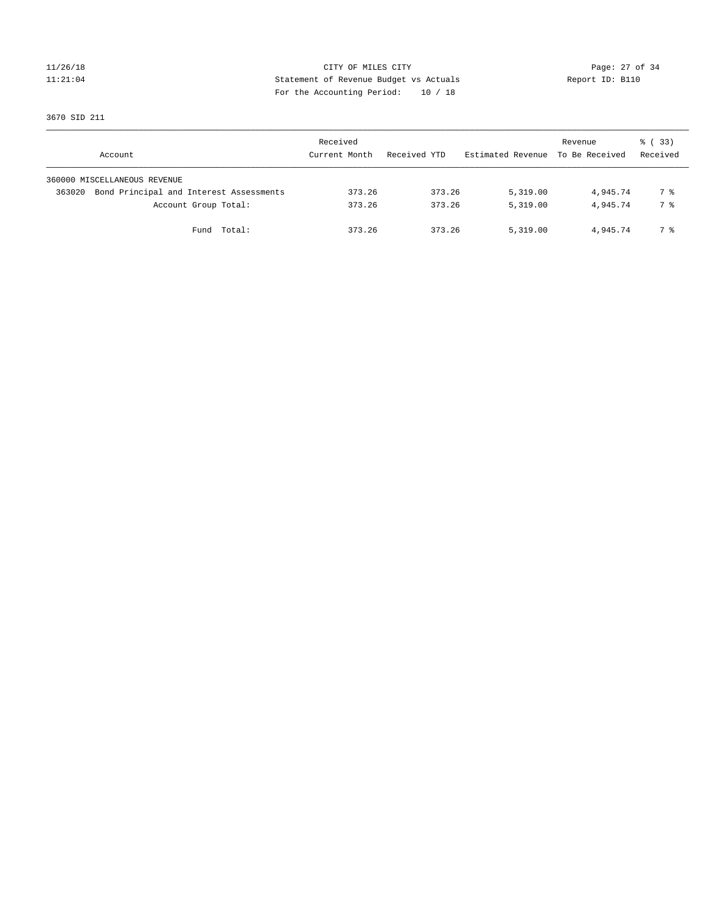# 11/26/18 Page: 27 of 34 11:21:04 Statement of Revenue Budget vs Actuals Report ID: B110 For the Accounting Period: 10 / 18

3670 SID 211

| Account                                           | Received<br>Current Month | Received YTD | Estimated Revenue | Revenue<br>To Be Received | 8 (33)<br>Received |
|---------------------------------------------------|---------------------------|--------------|-------------------|---------------------------|--------------------|
| 360000 MISCELLANEOUS REVENUE                      |                           |              |                   |                           |                    |
| Bond Principal and Interest Assessments<br>363020 | 373.26                    | 373.26       | 5,319.00          | 4,945.74                  | 7 %                |
| Account Group Total:                              | 373.26                    | 373.26       | 5,319.00          | 4,945.74                  | 7 %                |
| Fund Total:                                       | 373.26                    | 373.26       | 5,319.00          | 4,945.74                  | 7 %                |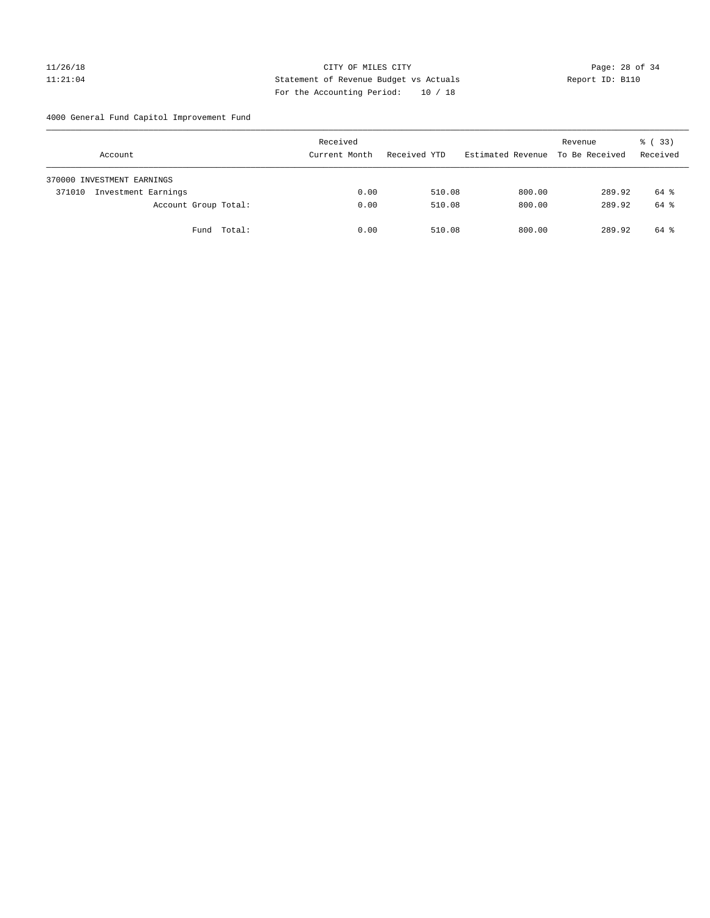# 11/26/18 Page: 28 of 34 11:21:04 Statement of Revenue Budget vs Actuals Report ID: B110 For the Accounting Period: 10 / 18

4000 General Fund Capitol Improvement Fund

| Account                       | Received<br>Current Month | Received YTD | Estimated Revenue | Revenue<br>To Be Received | % (33)<br>Received |
|-------------------------------|---------------------------|--------------|-------------------|---------------------------|--------------------|
| 370000 INVESTMENT EARNINGS    |                           |              |                   |                           |                    |
| Investment Earnings<br>371010 | 0.00                      | 510.08       | 800.00            | 289.92                    | 64 %               |
| Account Group Total:          | 0.00                      | 510.08       | 800.00            | 289.92                    | 64 %               |
| Fund Total:                   | 0.00                      | 510.08       | 800.00            | 289.92                    | 64 %               |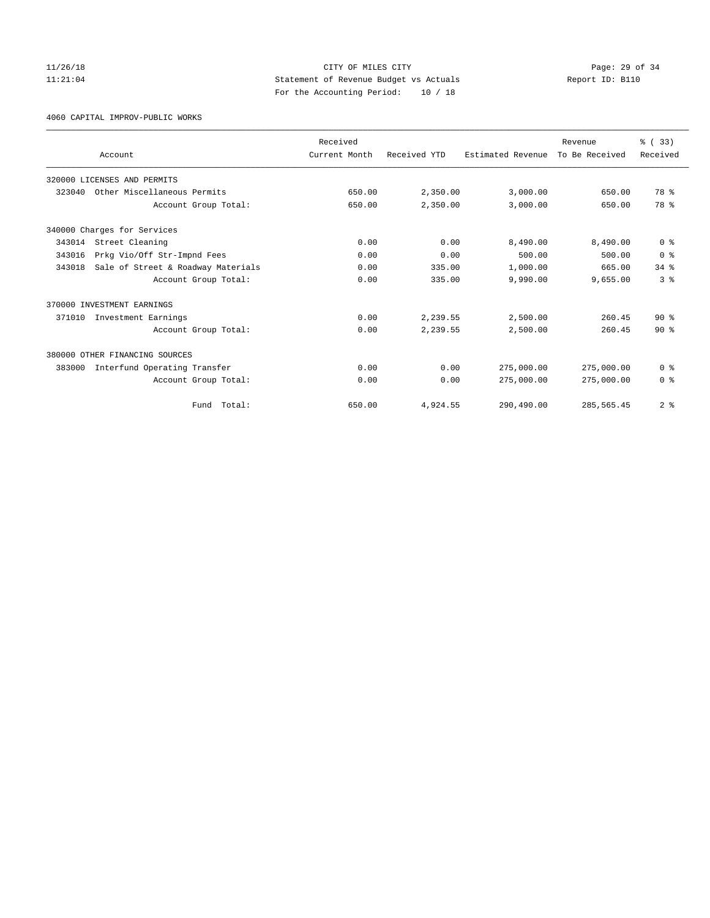# 11/26/18 Page: 29 of 34 11:21:04 Statement of Revenue Budget vs Actuals Report ID: B110 For the Accounting Period: 10 / 18

4060 CAPITAL IMPROV-PUBLIC WORKS

|        |                                    | Received      |              |                   | Revenue        | % (33)         |
|--------|------------------------------------|---------------|--------------|-------------------|----------------|----------------|
|        | Account                            | Current Month | Received YTD | Estimated Revenue | To Be Received | Received       |
|        | 320000 LICENSES AND PERMITS        |               |              |                   |                |                |
| 323040 | Other Miscellaneous Permits        | 650.00        | 2,350.00     | 3,000.00          | 650.00         | 78 %           |
|        | Account Group Total:               | 650.00        | 2,350.00     | 3,000.00          | 650.00         | 78 %           |
|        | 340000 Charges for Services        |               |              |                   |                |                |
| 343014 | Street Cleaning                    | 0.00          | 0.00         | 8,490.00          | 8,490.00       | 0 <sup>8</sup> |
| 343016 | Prkg Vio/Off Str-Impnd Fees        | 0.00          | 0.00         | 500.00            | 500.00         | 0 <sup>8</sup> |
| 343018 | Sale of Street & Roadway Materials | 0.00          | 335.00       | 1,000.00          | 665.00         | 34.8           |
|        | Account Group Total:               | 0.00          | 335.00       | 9,990.00          | 9,655.00       | 3 <sup>8</sup> |
|        | 370000 INVESTMENT EARNINGS         |               |              |                   |                |                |
| 371010 | Investment Earnings                | 0.00          | 2,239.55     | 2,500.00          | 260.45         | $90*$          |
|        | Account Group Total:               | 0.00          | 2,239.55     | 2,500.00          | 260.45         | $90*$          |
|        | 380000 OTHER FINANCING SOURCES     |               |              |                   |                |                |
| 383000 | Interfund Operating Transfer       | 0.00          | 0.00         | 275,000.00        | 275,000.00     | 0 <sup>8</sup> |
|        | Account Group Total:               | 0.00          | 0.00         | 275,000.00        | 275,000.00     | 0 <sup>8</sup> |
|        | Total:<br>Fund                     | 650.00        | 4,924.55     | 290,490.00        | 285, 565.45    | 2 <sup>8</sup> |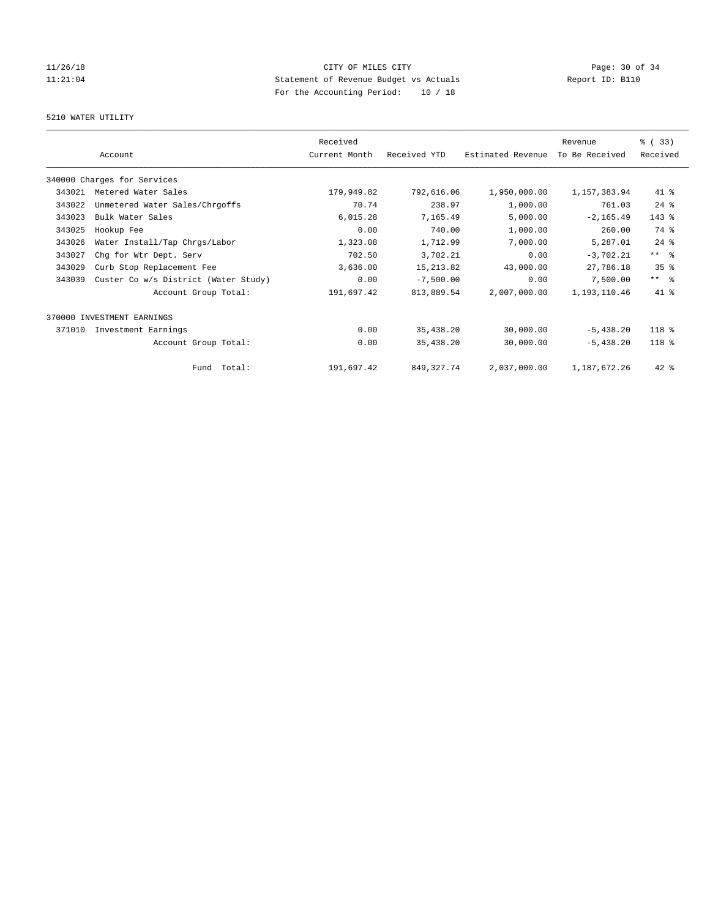# $CITY$  OF MILES  $CITY$  and the contract of  $P_1$   $P_2$  and  $P_3$   $P_4$   $P_5$   $P_6$   $P_7$   $P_8$   $P_8$   $P_9$   $P_9$   $P_9$   $P_9$   $P_9$   $P_9$   $P_9$   $P_9$   $P_9$   $P_9$   $P_9$   $P_9$   $P_9$   $P_9$   $P_9$   $P_9$   $P_9$   $P_9$   $P_9$   $P_9$   $P_9$ 11:21:04 Statement of Revenue Budget vs Actuals Report ID: B110 For the Accounting Period: 10 / 18

# 5210 WATER UTILITY

|        |                                      | Received      |              |                   | Revenue        | 8 (33)          |
|--------|--------------------------------------|---------------|--------------|-------------------|----------------|-----------------|
|        | Account                              | Current Month | Received YTD | Estimated Revenue | To Be Received | Received        |
|        | 340000 Charges for Services          |               |              |                   |                |                 |
| 343021 | Metered Water Sales                  | 179,949.82    | 792,616.06   | 1,950,000.00      | 1, 157, 383.94 | $41$ %          |
| 343022 | Unmetered Water Sales/Chrgoffs       | 70.74         | 238.97       | 1,000.00          | 761.03         | $24$ %          |
| 343023 | Bulk Water Sales                     | 6,015.28      | 7,165.49     | 5,000.00          | $-2, 165.49$   | $143$ $%$       |
| 343025 | Hookup Fee                           | 0.00          | 740.00       | 1,000.00          | 260.00         | 74 %            |
| 343026 | Water Install/Tap Chrgs/Labor        | 1,323.08      | 1,712.99     | 7,000.00          | 5,287.01       | $24$ %          |
| 343027 | Chg for Wtr Dept. Serv               | 702.50        | 3,702.21     | 0.00              | $-3,702.21$    | $***$ $%$       |
| 343029 | Curb Stop Replacement Fee            | 3,636.00      | 15, 213.82   | 43,000.00         | 27,786.18      | 35 <sup>8</sup> |
| 343039 | Custer Co w/s District (Water Study) | 0.00          | $-7,500.00$  | 0.00              | 7,500.00       | $***$ $=$       |
|        | Account Group Total:                 | 191,697.42    | 813,889.54   | 2,007,000.00      | 1,193,110.46   | 41 %            |
|        | 370000 INVESTMENT EARNINGS           |               |              |                   |                |                 |
| 371010 | Investment Earnings                  | 0.00          | 35,438.20    | 30,000.00         | $-5,438.20$    | 118 %           |
|        | Account Group Total:                 | 0.00          | 35,438.20    | 30,000.00         | $-5,438.20$    | $118*$          |
|        | Fund Total:                          | 191,697.42    | 849, 327. 74 | 2,037,000.00      | 1,187,672.26   | $42$ $%$        |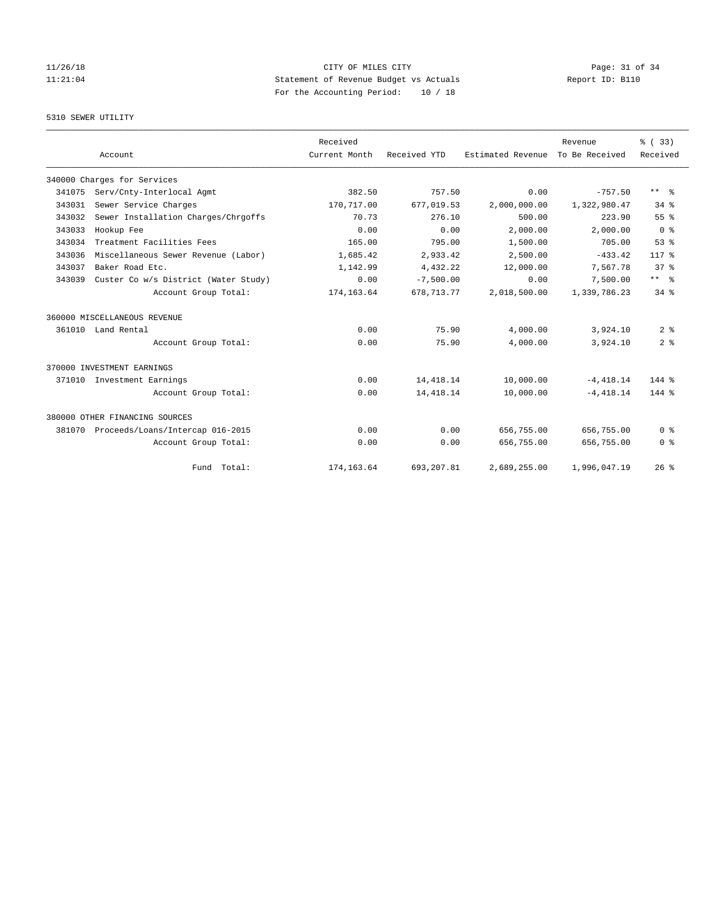# 5310 SEWER UTILITY

|        |                                      | Received      |              |                   | Revenue        | % (33)          |
|--------|--------------------------------------|---------------|--------------|-------------------|----------------|-----------------|
|        | Account                              | Current Month | Received YTD | Estimated Revenue | To Be Received | Received        |
|        | 340000 Charges for Services          |               |              |                   |                |                 |
| 341075 | Serv/Cnty-Interlocal Agmt            | 382.50        | 757.50       | 0.00              | $-757.50$      | ** %            |
| 343031 | Sewer Service Charges                | 170,717.00    | 677,019.53   | 2,000,000.00      | 1,322,980.47   | $34*$           |
| 343032 | Sewer Installation Charges/Chrgoffs  | 70.73         | 276.10       | 500.00            | 223.90         | 55%             |
| 343033 | Hookup Fee                           | 0.00          | 0.00         | 2,000.00          | 2,000.00       | 0 <sup>8</sup>  |
| 343034 | Treatment Facilities Fees            | 165.00        | 795.00       | 1,500.00          | 705.00         | 53 <sup>8</sup> |
| 343036 | Miscellaneous Sewer Revenue (Labor)  | 1,685.42      | 2,933.42     | 2,500.00          | $-433.42$      | $117*$          |
| 343037 | Baker Road Etc.                      | 1,142.99      | 4.432.22     | 12,000.00         | 7.567.78       | 37 <sup>8</sup> |
| 343039 | Custer Co w/s District (Water Study) | 0.00          | $-7,500.00$  | 0.00              | 7,500.00       | $***$ $%$       |
|        | Account Group Total:                 | 174, 163.64   | 678, 713. 77 | 2,018,500.00      | 1,339,786.23   | $34$ $%$        |
|        | 360000 MISCELLANEOUS REVENUE         |               |              |                   |                |                 |
|        | 361010 Land Rental                   | 0.00          | 75.90        | 4,000.00          | 3,924.10       | 2 <sup>8</sup>  |
|        | Account Group Total:                 | 0.00          | 75.90        | 4,000.00          | 3,924.10       | 2 <sup>8</sup>  |
|        | 370000 INVESTMENT EARNINGS           |               |              |                   |                |                 |
|        | 371010 Investment Earnings           | 0.00          | 14, 418.14   | 10,000.00         | $-4.418.14$    | $144$ $%$       |
|        | Account Group Total:                 | 0.00          | 14, 418.14   | 10,000.00         | $-4, 418.14$   | 144 %           |
|        | 380000 OTHER FINANCING SOURCES       |               |              |                   |                |                 |
| 381070 | Proceeds/Loans/Intercap 016-2015     | 0.00          | 0.00         | 656,755.00        | 656,755.00     | 0 <sup>8</sup>  |
|        | Account Group Total:                 | 0.00          | 0.00         | 656,755.00        | 656,755.00     | 0 <sup>8</sup>  |
|        | Fund Total:                          | 174,163.64    | 693,207.81   | 2,689,255.00      | 1,996,047.19   | 26%             |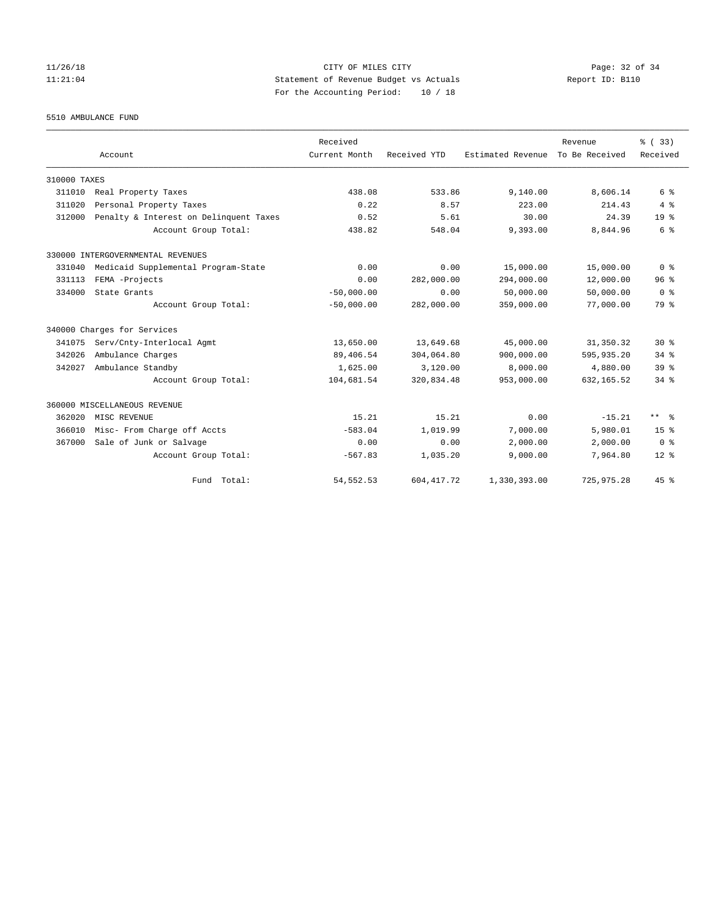# 11/26/18 Page: 32 of 34 11:21:04 Statement of Revenue Budget vs Actuals Report ID: B110 For the Accounting Period: 10 / 18

5510 AMBULANCE FUND

|              | Account                                | Received<br>Current Month | Received YTD | Estimated Revenue | Revenue<br>To Be Received | % (33)<br>Received |
|--------------|----------------------------------------|---------------------------|--------------|-------------------|---------------------------|--------------------|
| 310000 TAXES |                                        |                           |              |                   |                           |                    |
| 311010       | Real Property Taxes                    | 438.08                    | 533.86       | 9,140.00          | 8,606.14                  | 6 %                |
| 311020       | Personal Property Taxes                | 0.22                      | 8.57         | 223.00            | 214.43                    | 4%                 |
| 312000       | Penalty & Interest on Delinquent Taxes | 0.52                      | 5.61         | 30.00             | 24.39                     | 19 <sup>8</sup>    |
|              | Account Group Total:                   | 438.82                    | 548.04       | 9,393.00          | 8,844.96                  | 6 %                |
|              | 330000 INTERGOVERNMENTAL REVENUES      |                           |              |                   |                           |                    |
| 331040       | Medicaid Supplemental Program-State    | 0.00                      | 0.00         | 15,000.00         | 15,000.00                 | 0 <sup>8</sup>     |
| 331113       | FEMA -Projects                         | 0.00                      | 282,000.00   | 294,000.00        | 12,000.00                 | 96 <sup>8</sup>    |
| 334000       | State Grants                           | $-50.000.00$              | 0.00         | 50,000.00         | 50,000.00                 | 0 <sup>8</sup>     |
|              | Account Group Total:                   | $-50,000.00$              | 282,000.00   | 359,000.00        | 77,000.00                 | 79 %               |
|              | 340000 Charges for Services            |                           |              |                   |                           |                    |
| 341075       | Serv/Cnty-Interlocal Agmt              | 13,650.00                 | 13,649.68    | 45,000.00         | 31,350.32                 | $30*$              |
| 342026       | Ambulance Charges                      | 89,406.54                 | 304,064.80   | 900,000.00        | 595,935.20                | 34.8               |
| 342027       | Ambulance Standby                      | 1,625.00                  | 3,120.00     | 8,000.00          | 4,880.00                  | 39 <sup>8</sup>    |
|              | Account Group Total:                   | 104,681.54                | 320,834.48   | 953,000.00        | 632, 165.52               | 34.8               |
|              | 360000 MISCELLANEOUS REVENUE           |                           |              |                   |                           |                    |
| 362020       | MISC REVENUE                           | 15.21                     | 15.21        | 0.00              | $-15.21$                  | $***$ $%$          |
| 366010       | Misc- From Charge off Accts            | $-583.04$                 | 1,019.99     | 7,000.00          | 5,980.01                  | 15 <sup>8</sup>    |
| 367000       | Sale of Junk or Salvage                | 0.00                      | 0.00         | 2,000.00          | 2,000.00                  | 0 <sup>8</sup>     |
|              | Account Group Total:                   | $-567.83$                 | 1,035.20     | 9,000.00          | 7,964.80                  | $12*$              |
|              | Fund Total:                            | 54, 552. 53               | 604, 417.72  | 1,330,393.00      | 725,975.28                | 45%                |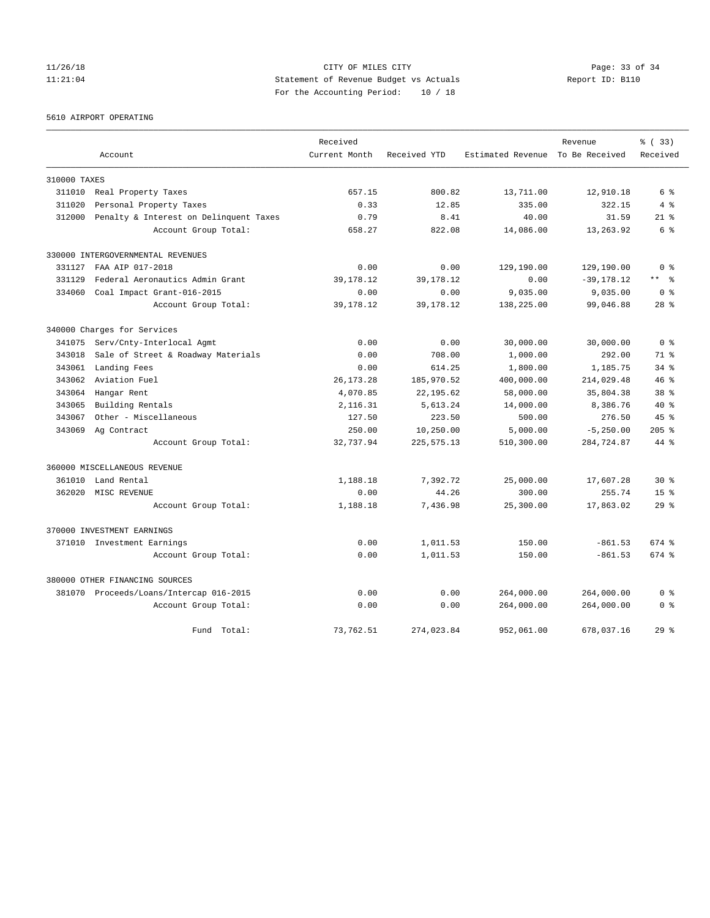# 11/26/18 Page: 33 of 34 11:21:04 Statement of Revenue Budget vs Actuals Report ID: B110 For the Accounting Period: 10 / 18

5610 AIRPORT OPERATING

|              |                                         | Received      |              |                                  | Revenue       | % (33)          |
|--------------|-----------------------------------------|---------------|--------------|----------------------------------|---------------|-----------------|
|              | Account                                 | Current Month | Received YTD | Estimated Revenue To Be Received |               | Received        |
| 310000 TAXES |                                         |               |              |                                  |               |                 |
| 311010       | Real Property Taxes                     | 657.15        | 800.82       | 13,711.00                        | 12,910.18     | 6 %             |
| 311020       | Personal Property Taxes                 | 0.33          | 12.85        | 335.00                           | 322.15        | 4%              |
| 312000       | Penalty & Interest on Delinquent Taxes  | 0.79          | 8.41         | 40.00                            | 31.59         | $21*$           |
|              | Account Group Total:                    | 658.27        | 822.08       | 14,086.00                        | 13,263.92     | 6 %             |
|              | 330000 INTERGOVERNMENTAL REVENUES       |               |              |                                  |               |                 |
| 331127       | FAA AIP 017-2018                        | 0.00          | 0.00         | 129,190.00                       | 129,190.00    | 0 <sup>8</sup>  |
| 331129       | Federal Aeronautics Admin Grant         | 39, 178. 12   | 39, 178. 12  | 0.00                             | $-39, 178.12$ | $***$ $ -$      |
| 334060       | Coal Impact Grant-016-2015              | 0.00          | 0.00         | 9,035.00                         | 9,035.00      | 0 <sup>8</sup>  |
|              | Account Group Total:                    | 39, 178. 12   | 39, 178. 12  | 138,225.00                       | 99,046.88     | 28 <sup>8</sup> |
|              | 340000 Charges for Services             |               |              |                                  |               |                 |
| 341075       | Serv/Cnty-Interlocal Agmt               | 0.00          | 0.00         | 30,000.00                        | 30,000.00     | 0 <sup>8</sup>  |
| 343018       | Sale of Street & Roadway Materials      | 0.00          | 708.00       | 1,000.00                         | 292.00        | 71 %            |
| 343061       | Landing Fees                            | 0.00          | 614.25       | 1,800.00                         | 1,185.75      | $34$ $%$        |
| 343062       | Aviation Fuel                           | 26, 173. 28   | 185,970.52   | 400,000.00                       | 214,029.48    | $46*$           |
| 343064       | Hangar Rent                             | 4,070.85      | 22, 195.62   | 58,000.00                        | 35,804.38     | 38 %            |
| 343065       | Building Rentals                        | 2,116.31      | 5,613.24     | 14,000.00                        | 8,386.76      | 40 %            |
| 343067       | Other - Miscellaneous                   | 127.50        | 223.50       | 500.00                           | 276.50        | $45$ $%$        |
| 343069       | Ag Contract                             | 250.00        | 10,250.00    | 5,000.00                         | $-5, 250.00$  | $205$ %         |
|              | Account Group Total:                    | 32,737.94     | 225, 575. 13 | 510,300.00                       | 284,724.87    | 44 %            |
|              | 360000 MISCELLANEOUS REVENUE            |               |              |                                  |               |                 |
| 361010       | Land Rental                             | 1,188.18      | 7,392.72     | 25,000.00                        | 17,607.28     | $30*$           |
| 362020       | MISC REVENUE                            | 0.00          | 44.26        | 300.00                           | 255.74        | 15 <sup>8</sup> |
|              | Account Group Total:                    | 1,188.18      | 7,436.98     | 25,300.00                        | 17,863.02     | 29 <sup>8</sup> |
|              | 370000 INVESTMENT EARNINGS              |               |              |                                  |               |                 |
|              | 371010 Investment Earnings              | 0.00          | 1,011.53     | 150.00                           | $-861.53$     | 674 %           |
|              | Account Group Total:                    | 0.00          | 1,011.53     | 150.00                           | $-861.53$     | 674 %           |
|              | 380000 OTHER FINANCING SOURCES          |               |              |                                  |               |                 |
|              | 381070 Proceeds/Loans/Intercap 016-2015 | 0.00          | 0.00         | 264,000.00                       | 264,000.00    | 0 <sup>8</sup>  |
|              | Account Group Total:                    | 0.00          | 0.00         | 264,000.00                       | 264,000.00    | 0 <sup>8</sup>  |
|              | Fund Total:                             | 73,762.51     | 274,023.84   | 952,061.00                       | 678,037.16    | 29 <sup>8</sup> |